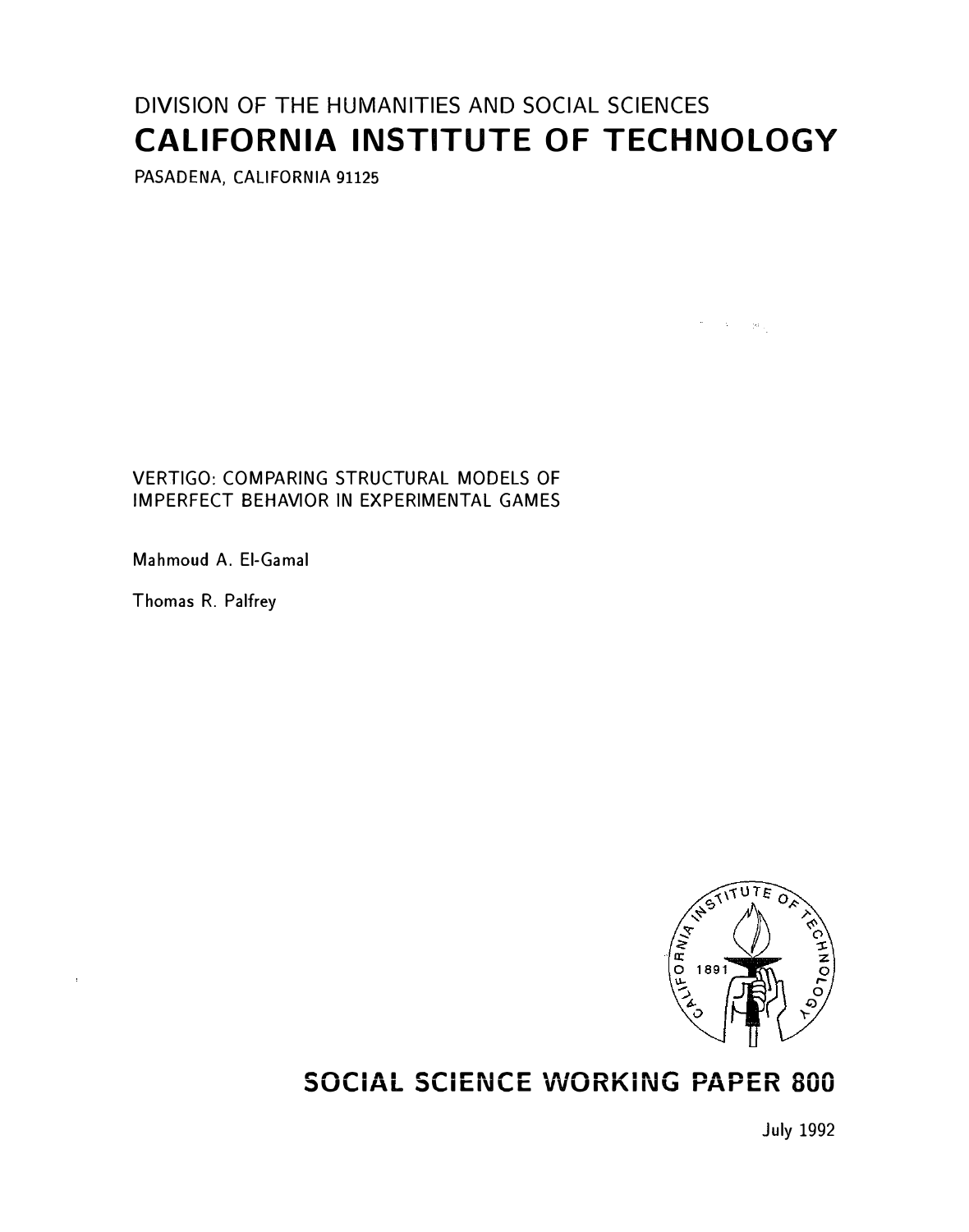# DIVISION OF THE HUMANITIES AND SOCIAL SCIENCES CALIFORNIA INSTITUTE OF TECHNOLOGY

PASADENA, CALIFORNIA 91125

 $\mathcal{F}^{\text{in}}(\mathcal{A})=\mathfrak{gl}_{\mathcal{A}}$ 

## VERTIGO: COMPARING STRUCTURAL MODELS OF IMPERFECT BEHAVIOR IN EXPERIMENTAL GAMES

Mahmoud A. El-Gamal

Thomas R. Palfrey



## SOCIAL SCIENCE WORKING PAPER 800

July 1992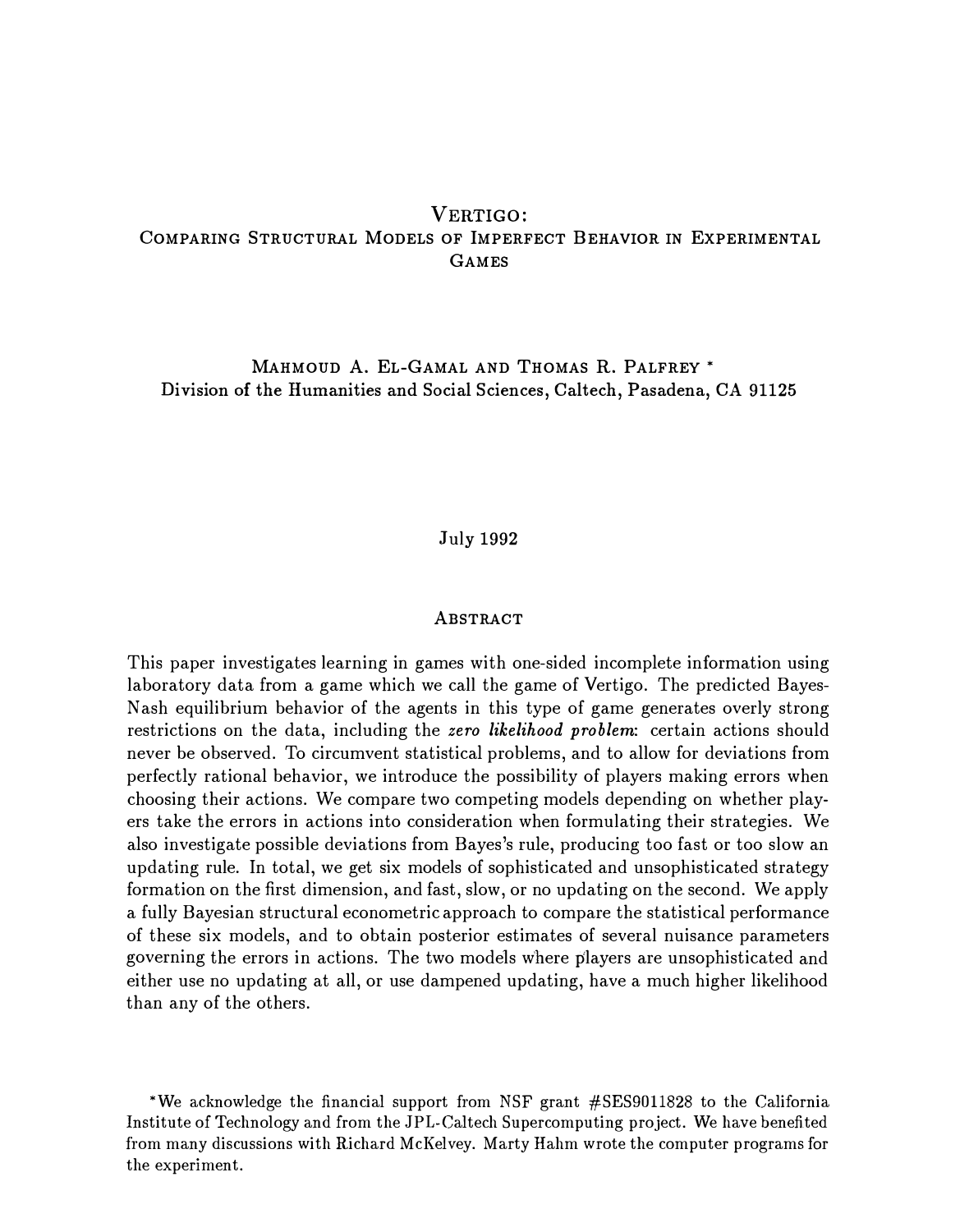## VERTIGO: COMPARING STRUCTURAL MODELS OF IMPERFECT BEHAVIOR IN EXPERIMENTAL GAMES

MAHMOUD A. EL-GAMAL AND THOMAS R. PALFREY \* Division of the Humanities and Social Sciences, Caltech, Pasadena, CA 91125

#### July 1992

#### ABSTRACT

This paper investigates learning in games with one-sided incomplete information using laboratory data from a game which we call the game of Vertigo. The predicted Bayes-Nash equilibrium behavior of the agents in this type of game generates overly strong restrictions on the data, including the zero likelihood problem: certain actions should never be observed. To circumvent statistical problems, and to allow for deviations from perfectly rational behavior, we introduce the possibility of players making errors when choosing their actions. We compare two competing models depending on whether players take the errors in actions into consideration when formulating their strategies. We also investigate possible deviations from Bayes's rule, producing too fast or too slow an updating rule. In total, we get six models of sophisticated and unsophisticated strategy formation on the first dimension, and fast, slow, or no updating on the second. We apply a fully Bayesian structural econometric approach to compare the statistical performance of these six models, and to obtain posterior estimates of several nuisance parameters governing the errors in actions. The two models where players are unsophisticated and either use no updating at all, or use dampened updating, have a much higher likelihood than any of the others.

\*We acknowledge the financial support from NSF grant #SES9011828 to the California Institute of Technology and from the JPL-Caltech Supercomputing project. We have benefited from many discussions with Richard McKelvey. Marty Hahm wrote the computer programs for the experiment.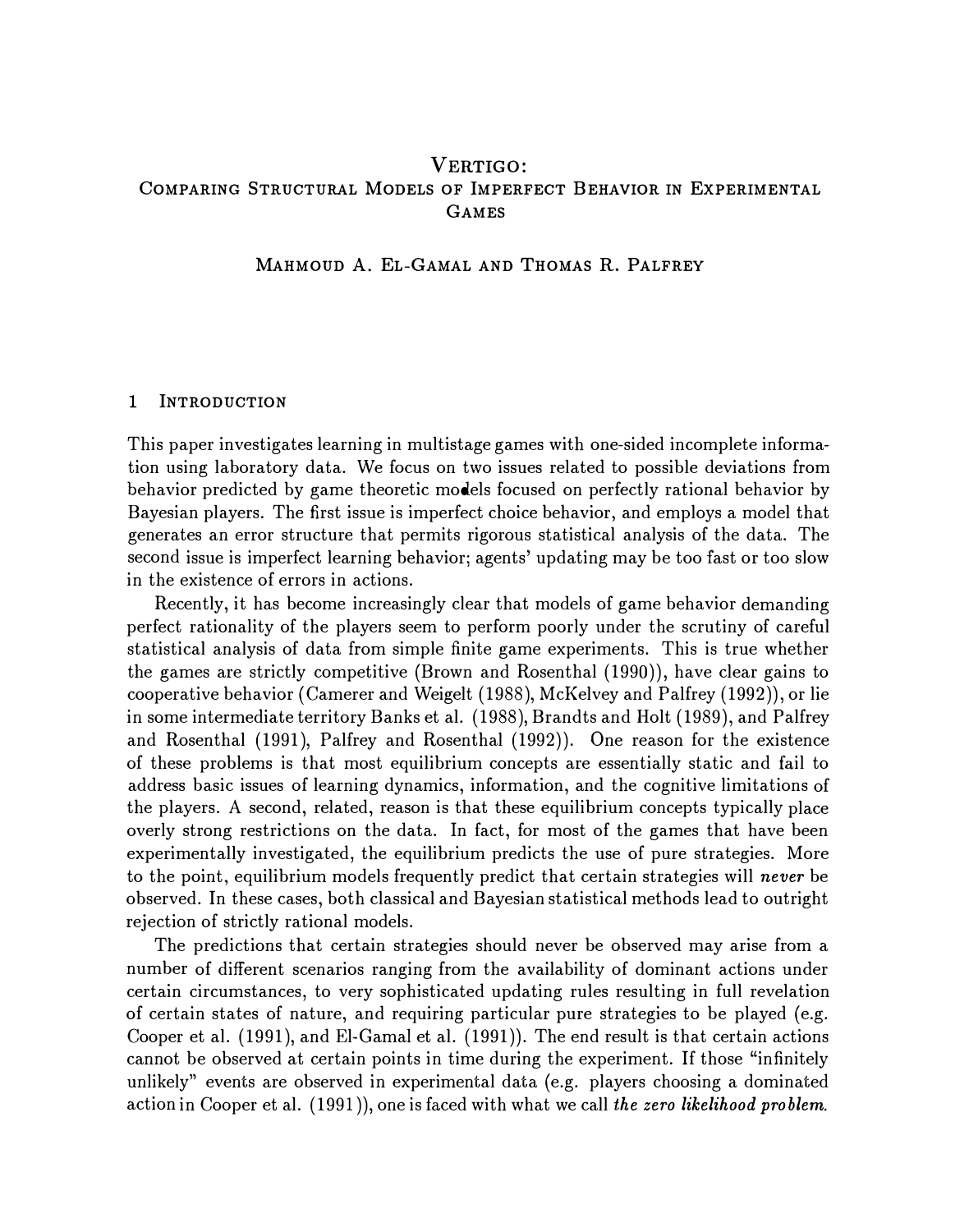## VERTIGO: COMPARING STRUCTURAL MODELS OF IMPERFECT BEHAVIOR IN EXPERIMENTAL GAMES

#### MAHMOUD A. EL-GAMAL AND THOMAS R. PALFREY

#### 1 INTRODUCTION

This paper investigates learning in multistage games with one-sided incomplete information using laboratory data. We focus on two issues related to possible deviations from behavior predicted by game theoretic models focused on perfectly rational behavior by Bayesian players. The first issue is imperfect choice behavior, and employs a model that generates an error structure that permits rigorous statistical analysis of the data. The second issue is imperfect learning behavior; agents' updating may be too fast or too slow in the existence of errors in actions.

Recently, it has become increasingly clear that models of game behavior demanding perfect rationality of the players seem to perform poorly under the scrutiny of careful statistical analysis of data from simple finite game experiments. This is true whether the games are strictly competitive (Brown and Rosenthal (1990)), have clear gains to cooperative behavior (Camerer and Weigelt (1988), McKelvey and Palfrey (1992)), or lie in some intermediate territory Banks et al. (1988), Brandts and Holt (1989), and Palfrey and Rosenthal (1991), Palfrey and Rosenthal (1992)). One reason for the existence of these problems is that most equilibrium concepts are essentially static and fail to address basic issues of learning dynamics, information, and the cognitive limitations of the players. A second, related, reason is that these equilibrium concepts typically place overly strong restrictions on the data. In fact, for most of the games that have been experimentally investigated, the equilibrium predicts the use of pure strategies. More to the point, equilibrium models frequently predict that certain strategies will never be observed. In these cases, both classical and Bayesian statistical methods lead to outright rejection of strictly rational models.

The predictions that certain strategies should never be observed may arise from a number of different scenarios ranging from the availability of dominant actions under certain circumstances, to very sophisticated updating rules resulting in full revelation of certain states of nature, and requiring particular pure strategies to be played (e.g. Cooper et al. (1991), and El-Gamal et al. (1991)). The end result is that certain actions cannot be observed at certain points in time during the experiment. If those "infinitely unlikely" events are observed in experimental data (e.g. players choosing a dominated action in Cooper et al. (1991), one is faced with what we call the zero likelihood problem.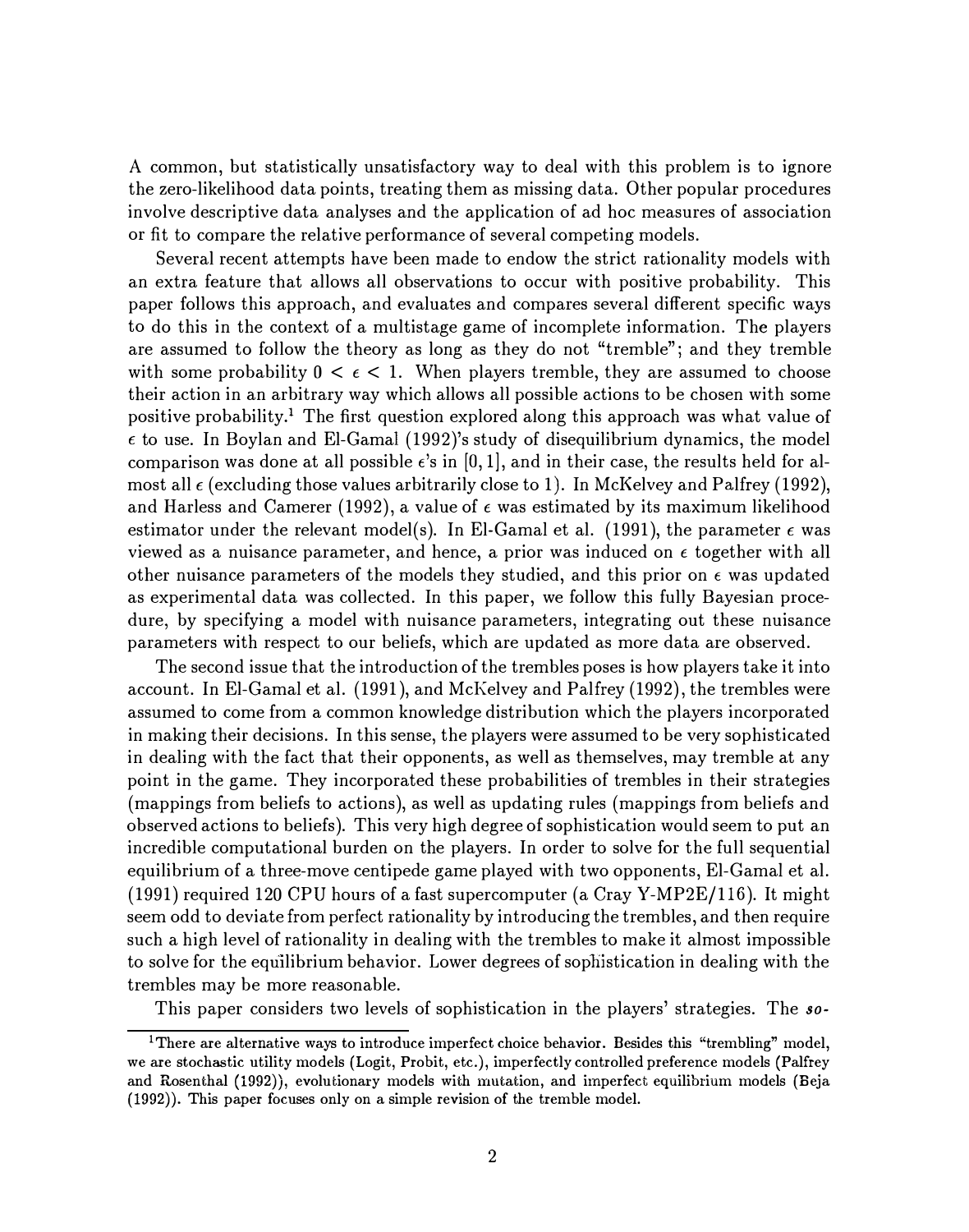A common, but statistically unsatisfactory way to deal with this problem is to ignore the zero-likelihood data points, treating them as missing data. Other popular procedures involve descriptive data analyses and the application of ad hoc measures of association or fit to compare the relative performance of several competing models.

Several recent attempts have been made to endow the strict rationality models with an extra feature that allows all observations to occur with positive probability. This paper follows this approach, and evaluates and compares several different specific ways to do this in the context of a multistage game of incomplete information. The players are assumed to follow the theory as long as they do not "tremble"; and they tremble with some probability  $0 < \epsilon < 1$ . When players tremble, they are assumed to choose their action in an arbitrary way which allows all possible actions to be chosen with some positive probability.<sup>1</sup> The first question explored along this approach was what value of  $\epsilon$  to use. In Boylan and El-Gamal (1992)'s study of disequilibrium dynamics, the model comparison was done at all possible  $\epsilon$ 's in [0, 1], and in their case, the results held for almost all  $\epsilon$  (excluding those values arbitrarily close to 1). In McKelvey and Palfrey (1992), and Harless and Camerer (1992), a value of  $\epsilon$  was estimated by its maximum likelihood estimator under the relevant model(s). In El-Gamal et al. (1991), the parameter  $\epsilon$  was viewed as a nuisance parameter, and hence, a prior was induced on  $\epsilon$  together with all other nuisance parameters of the models they studied, and this prior on  $\epsilon$  was updated as experimental data was collected. In this paper, we follow this fully Bayesian procedure, by specifying a model with nuisance parameters, integrating out these nuisance parameters with respect to our beliefs, which are updated as more data are observed.

The second issue that the introduction of the trembles poses is how players take it into account. In El-Gamal et al. (1991), and McKelvey and Palfrey (1992), the trembles were assumed to come from a common knowledge distribution which the players incorporated in making their decisions. In this sense, the players were assumed to be very sophisticated in dealing with the fact that their opponents, as well as themselves, may tremble at any point in the game. They incorporated these probabilities of trembles in their strategies (mappings from beliefs to actions), as well as updating rules (mappings from beliefs and observed actions to beliefs). This very high degree of sophistication would seem to put an incredible computational burden on the players. In order to solve for the full sequential equilibrium of a three-move centipede game played with two opponents, El-Gamal et al. (1991) required 120 CPU hours of a fast supercomputer (a Cray Y-MP2E/116). It might seem odd to deviate from perfect rationality by introducing the trembles, and then require such a high level of rationality in dealing with the trembles to make it almost impossible to solve for the equilibrium behavior. Lower degrees of sophistication in dealing with the trembles may be more reasonable.

This paper considers two levels of sophistication in the players' strategies. The so-

<sup>&</sup>lt;sup>1</sup>There are alternative ways to introduce imperfect choice behavior. Besides this "trembling" model, we are stochastic utility models (Logit, Probit, etc.), imperfectly controlled preference models (Palfrey and Rosenthal (1992)), evolutionary models with mutation, and imperfect equilibrium models (Beja (1992)). This paper focuses only on a simple revision of the tremble model.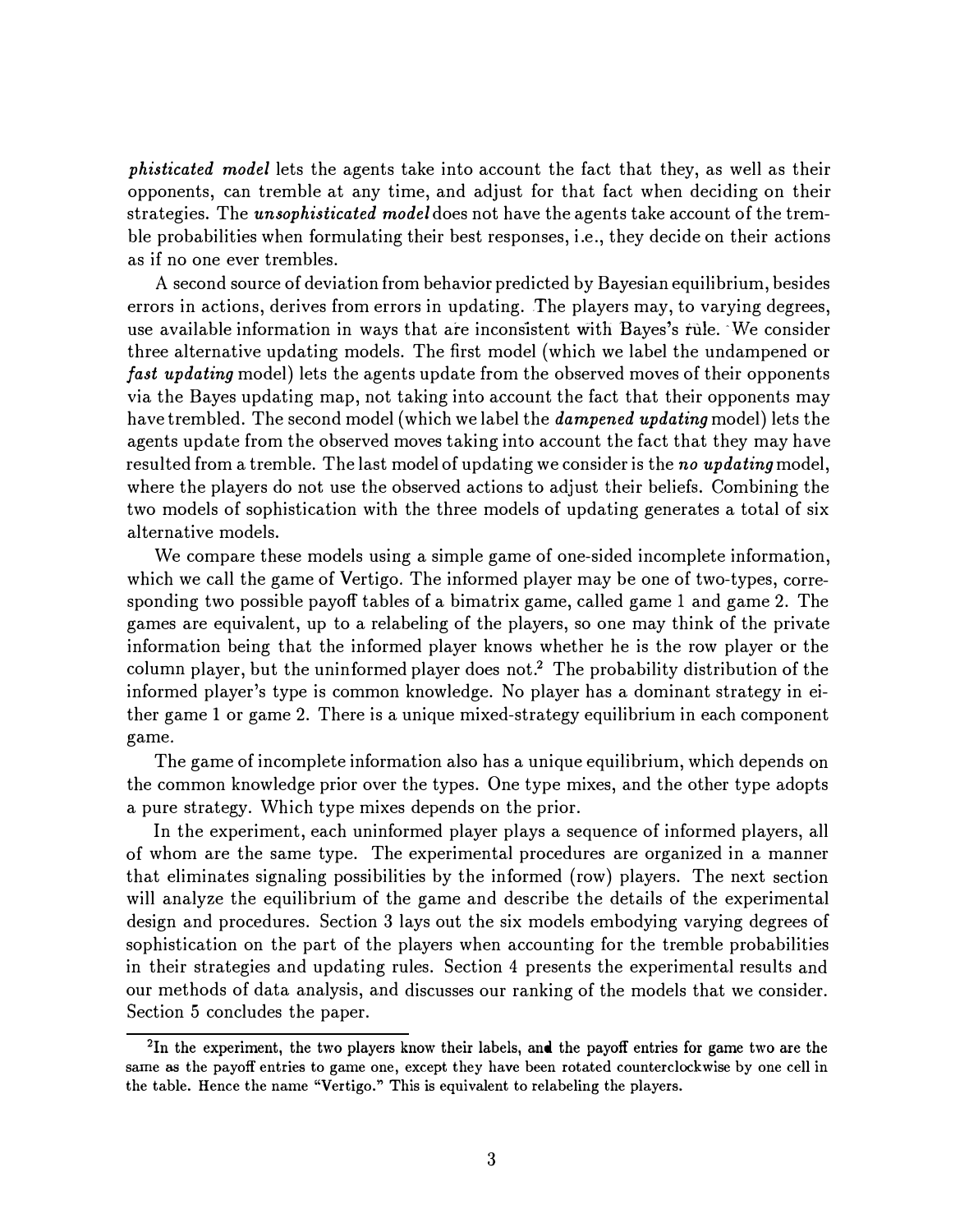phisticated model lets the agents take into account the fact that they, as well as their opponents, can tremble at any time, and adjust for that fact when deciding on their strategies. The *unsophisticated model* does not have the agents take account of the tremble probabilities when formulating their best responses, i.e., they decide on their actions as if no one ever trembles.

A second source of deviation from behavior predicted by Bayesian equilibrium, besides errors in actions, derives from errors in updating. The players may, to varying degrees, use available information in ways that are inconsistent with Bayes's rule. We consider three alternative updating models. The first model (which we label the undampened or fast updating model) lets the agents update from the observed moves of their opponents via the Bayes updating map, not taking into account the fact that their opponents may have trembled. The second model (which we label the dampened updating model) lets the agents update from the observed moves taking into account the fact that they may have resulted from a tremble. The last model of updating we consider is the no updating model, where the players do not use the observed actions to adjust their beliefs. Combining the two models of sophistication with the three models of updating generates a total of six alternative models.

We compare these models using a simple game of one-sided incomplete information, which we call the game of Vertigo. The informed player may be one of two-types, corresponding two possible payoff tables of a bimatrix game, called game 1 and game 2. The games are equivalent, up to a relabeling of the players, so one may think of the private information being that the informed player knows whether he is the row player or the column player, but the uninformed player does not.2 The probability distribution of the informed player's type is common knowledge. No player has a dominant strategy in either game 1 or game 2. There is a unique mixed-strategy equilibrium in each component game.

The game of incomplete information also has a unique equilibrium, which depends on the common knowledge prior over the types. One type mixes, and the other type adopts a pure strategy. Which type mixes depends on the prior.

In the experiment, each uninformed player plays a sequence of informed players, all of whom are the same type. The experimental procedures are organized in a manner that eliminates signaling possibilities by the informed (row) players. The next section will analyze the equilibrium of the game and describe the details of the experimental design and procedures. Section 3 lays out the six models embodying varying degrees of sophistication on the part of the players when accounting for the tremble probabilities in their strategies and updating rules. Section 4 presents the experimental results and our methods of data analysis, and discusses our ranking of the models that we consider. Section 5 concludes the paper.

<sup>2</sup>In the experiment, the two players know their labels, and the payoff entries for game two are the same as the payoff entries to game one, except they have been rotated counterclockwise by one cell in the table. Hence the name "Vertigo." This is equivalent to relabeling the players.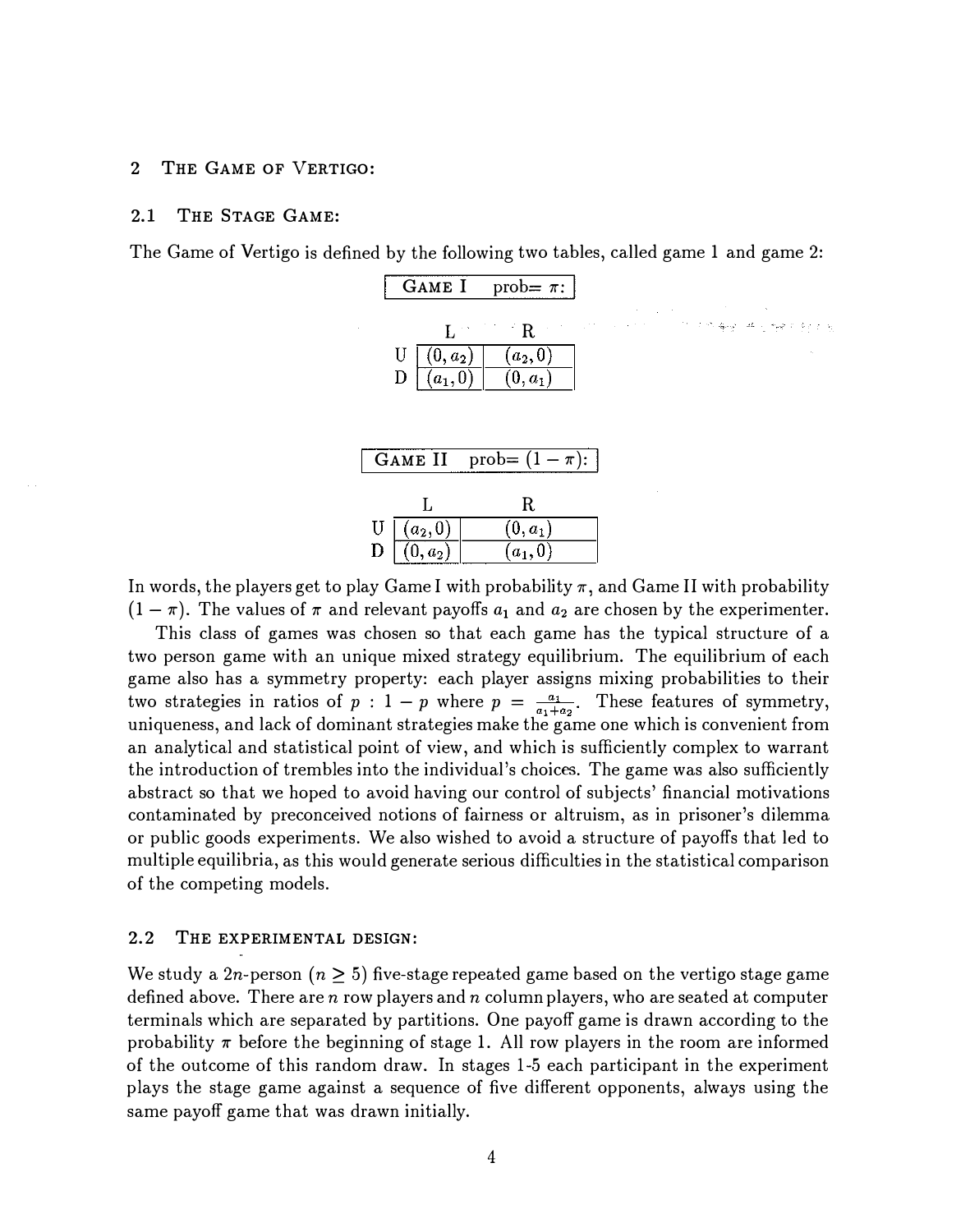#### 2 THE GAME OF VERTIGO:

#### 2.1 THE STAGE GAME:

The Game of Vertigo is defined by the following two tables, called game 1 and game 2:

|              | GAME I prob= $\pi$ : |  |  |  |
|--------------|----------------------|--|--|--|
|              |                      |  |  |  |
|              |                      |  |  |  |
| $U (0, a_2)$ | $(a_2, 0)$           |  |  |  |
|              | $(0, a_1)$           |  |  |  |
|              |                      |  |  |  |



In words, the players get to play Game I with probability  $\pi$ , and Game II with probability  $(1 - \pi)$ . The values of  $\pi$  and relevant payoffs  $a_1$  and  $a_2$  are chosen by the experimenter.

This class of games was chosen so that each game has the typical structure of a two person game with an unique mixed strategy equilibrium. The equilibrium of each game also has a symmetry property: each player assigns mixing probabilities to their two strategies in ratios of  $p : 1 - p$  where  $p = \frac{a_1}{a_1 + a_2}$ . These features of symmetry, uniqueness, and lack of dominant strategies make the game one which is convenient from an analytical and statistical point of view, and which is sufficiently complex to warrant the introduction of trembles into the individual's choices. The game was also sufficiently abstract so that we hoped to avoid having our control of subjects' financial motivations contaminated by preconceived notions of fairness or altruism, as in prisoner's dilemma or public goods experiments. We also wished to avoid a structure of payoffs that led to multiple equilibria, as this would generate serious difficulties in the statistical comparison of the competing models.

#### 2.2 THE EXPERIMENTAL DESIGN:

We study a 2n-person ( $n > 5$ ) five-stage repeated game based on the vertigo stage game defined above. There are n row players and n column players, who are seated at computer terminals which are separated by partitions. One payoff game is drawn according to the probability  $\pi$  before the beginning of stage 1. All row players in the room are informed of the outcome of this random draw. In stages 1-5 each participant in the experiment plays the stage game against a sequence of five different opponents, always using the same payoff game that was drawn initially.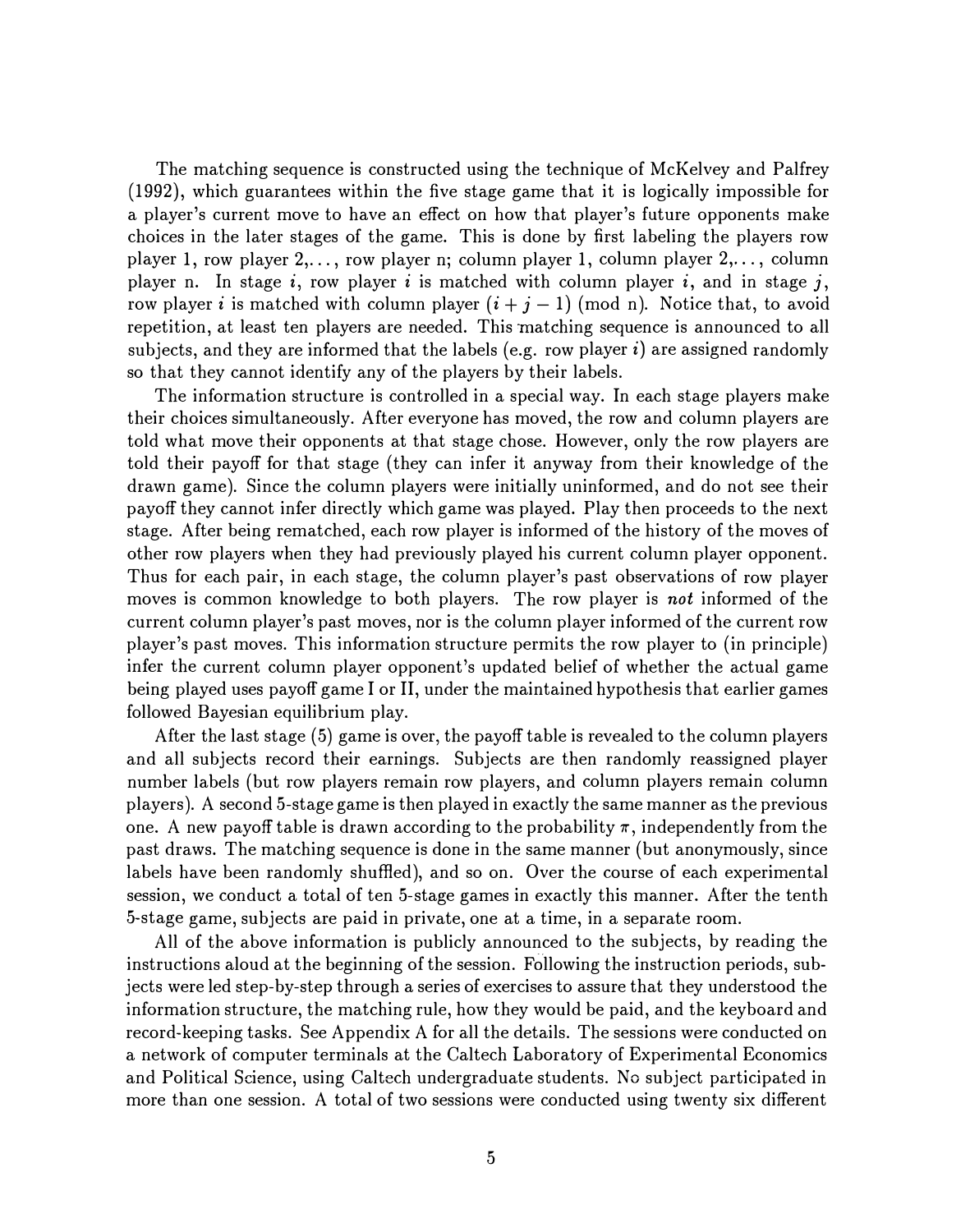The matching sequence is constructed using the technique of McKelvey and Palfrey (1992), which guarantees within the five stage game that it is logically impossible for a player's current move to have an effect on how that player's future opponents make choices in the later stages of the game. This is done by first labeling the players row player 1, row player 2, ... , row player n; column player 1, column player 2,. .. , column player n. In stage i, row player i is matched with column player i, and in stage j, row player *i* is matched with column player  $(i + j - 1)$  (mod n). Notice that, to avoid repetition, at least ten players are needed. This matching sequence is announced to all subjects, and they are informed that the labels (e.g. row player  $i$ ) are assigned randomly so that they cannot identify any of the players by their labels.

The information structure is controlled in a special way. In each stage players make their choices simultaneously. After everyone has moved, the row and column players are told what move their opponents at that stage chose. However, only the row players are told their payoff for that stage (they can infer it anyway from their knowledge of the drawn game). Since the column players were initially uninformed, and do not see their payoff they cannot infer directly which game was played. Play then proceeds to the next stage. After being rematched, each row player is informed of the history of the moves of other row players when they had previously played his current column player opponent. Thus for each pair, in each stage, the column player's past observations of row player moves is common knowledge to both players. The row player is not informed of the current column player's past moves, nor is the column player informed of the current row player's past moves. This information structure permits the row player to (in principle) infer the current column player opponent's updated belief of whether the actual game being played uses payoff game I or II, under the maintained hypothesis that earlier games followed Bayesian equilibrium play.

After the last stage (5) game is over, the payoff table is revealed to the column players and all subjects record their earnings. Subjects are then randomly reassigned player number labels (but row players remain row players, and column players remain column players). A second 5-stage game is then played in exactly the same manner as the previous one. A new payoff table is drawn according to the probability  $\pi$ , independently from the past draws. The matching sequence is done in the same manner (but anonymously, since labels have been randomly shuffled), and so on. Over the course of each experimental session, we conduct a total of ten 5-stage games in exactly this manner. After the tenth 5-stage game, subjects are paid in private, one at a time, in a separate room.

All of the above information is publicly announced to the subjects, by reading the instructions aloud at the beginning of the session. Following the instruction periods, subjects were led step-by-step through a series of exercises to assure that they understood the information structure, the matching rule, how they would be paid, and the keyboard and record-keeping tasks. See Appendix A for all the details. The sessions were conducted on a network of computer terminals at the Caltech Laboratory of Experimental Economics and Political Science, using Caltech undergraduate students. No subject participated in more than one session. A total of two sessions were conducted using twenty six different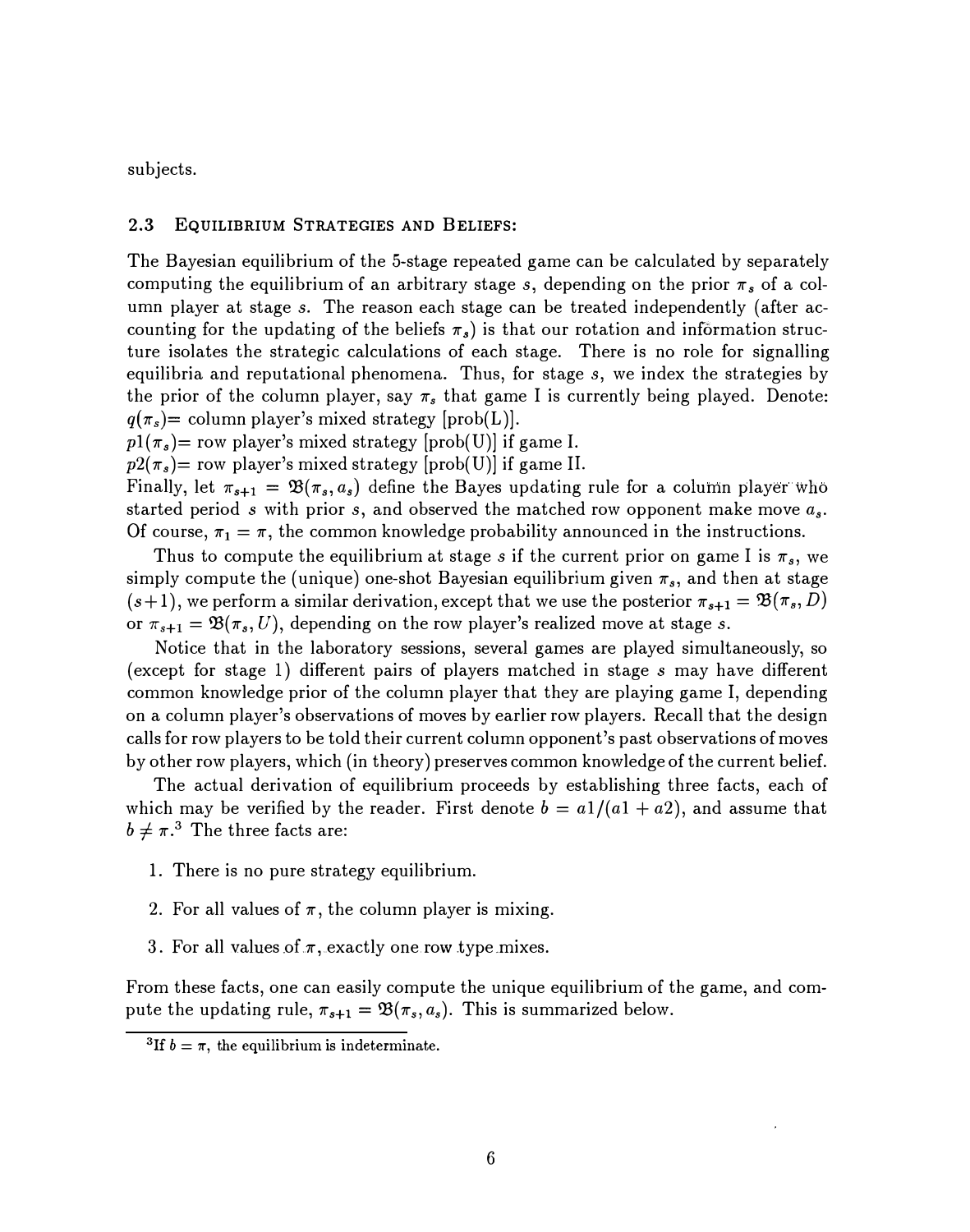subjects.

#### 2.3 EQUILIBRIUM STRATEGIES AND BELIEFS:

The Bayesian equilibrium of the 5-stage repeated game can be calculated by separately computing the equilibrium of an arbitrary stage s, depending on the prior  $\pi_s$  of a column player at stage s. The reason each stage can be treated independently (after accounting for the updating of the beliefs  $\pi_s$ ) is that our rotation and information structure isolates the strategic calculations of each stage. There is no role for signalling equilibria and reputational phenomena. Thus, for stage s, we index the strategies by the prior of the column player, say  $\pi_s$  that game I is currently being played. Denote:  $q(\pi_s)$ = column player's mixed strategy [prob(L)].

 $p1(\pi_s)$  = row player's mixed strategy [prob(U)] if game I.

 $p2(\pi_s)$  row player's mixed strategy [prob(U)] if game II.

Finally, let  $\pi_{s+1} = \mathfrak{B}(\pi_s, a_s)$  define the Bayes updating rule for a column player who started period s with prior s, and observed the matched row opponent make move  $a_s$ . Of course,  $\pi_1 = \pi$ , the common knowledge probability announced in the instructions.

Thus to compute the equilibrium at stage s if the current prior on game I is  $\pi_s$ , we simply compute the (unique) one-shot Bayesian equilibrium given  $\pi_s$ , and then at stage  $(s+1)$ , we perform a similar derivation, except that we use the posterior  $\pi_{s+1} = \mathfrak{B}(\pi_s, D)$ or  $\pi_{s+1} = \mathfrak{B}(\pi_s, U)$ , depending on the row player's realized move at stage s.

Notice that in the laboratory sessions, several games are played simultaneously, so (except for stage 1) different pairs of players matched in stage s may have different common knowledge prior of the column player that they are playing game I, depending on a column player's observations of moves by earlier row players. Recall that the design calls for row players to be told their current column opponent's past observations of moves by other row players, which (in theory) preserves common knowledge of the current belief.

The actual derivation of equilibrium proceeds by establishing three facts, each of which may be verified by the reader. First denote  $b = a1/(a1 + a2)$ , and assume that  $b \neq \pi$ .<sup>3</sup> The three facts are:

- 1. There is no pure strategy equilibrium.
- 2. For all values of  $\pi$ , the column player is mixing.
- 3. For all values of  $\pi$ , exactly one row type mixes.

From these facts, one can easily compute the unique equilibrium of the game, and compute the updating rule,  $\pi_{s+1} = \mathfrak{B}(\pi_s, a_s)$ . This is summarized below.

<sup>&</sup>lt;sup>3</sup>If  $b = \pi$ , the equilibrium is indeterminate.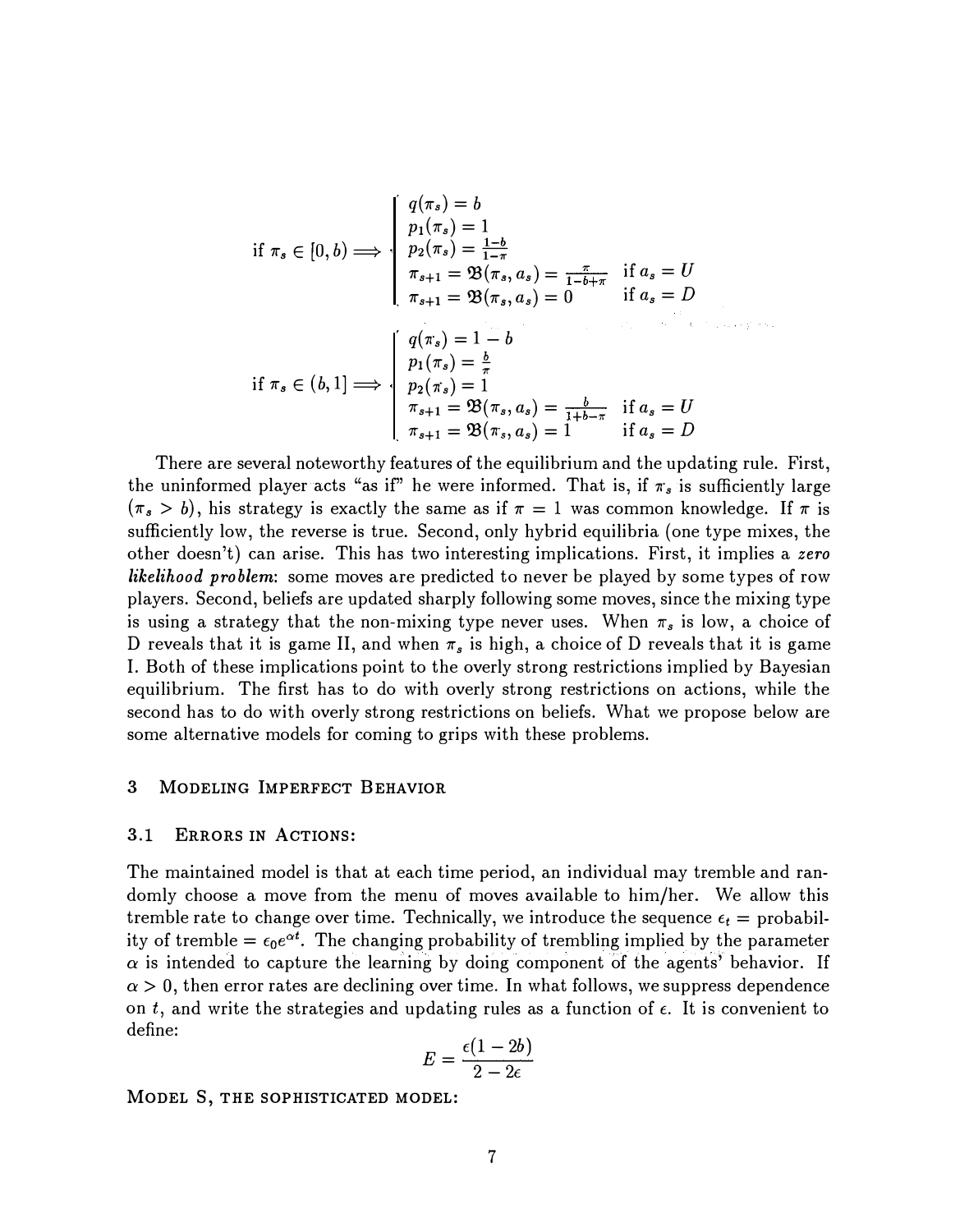$$
\text{if } \pi_s \in [0, b) \Longrightarrow \begin{cases} q(\pi_s) = b \\ p_1(\pi_s) = 1 \\ p_2(\pi_s) = \frac{1-b}{1-\pi} \\ \pi_{s+1} = \mathfrak{B}(\pi_s, a_s) = \frac{\pi}{1-b+\pi} & \text{if } a_s = U \\ \pi_{s+1} = \mathfrak{B}(\pi_s, a_s) = 0 & \text{if } a_s = D \end{cases}
$$
\n
$$
\text{if } \pi_s \in (b, 1] \Longrightarrow \begin{cases} q(\pi_s) = 1 - b \\ p_1(\pi_s) = \frac{b}{\pi} \\ p_2(\pi_s) = 1 \\ \pi_{s+1} = \mathfrak{B}(\pi_s, a_s) = \frac{b}{1+b-\pi} & \text{if } a_s = U \\ \pi_{s+1} = \mathfrak{B}(\pi_s, a_s) = 1 & \text{if } a_s = D \end{cases}
$$

There are several noteworthy features of the equilibrium and the updating rule. First, the uninformed player acts "as if" he were informed. That is, if  $\pi_s$  is sufficiently large  $(\pi_s > b)$ , his strategy is exactly the same as if  $\pi = 1$  was common knowledge. If  $\pi$  is sufficiently low, the reverse is true. Second, only hybrid equilibria (one type mixes, the other doesn't) can arise. This has two interesting implications. First, it implies a zero likelihood problem: some moves are predicted to never be played by some types of row players. Second, beliefs are updated sharply following some moves, since the mixing type is using a strategy that the non-mixing type never uses. When  $\pi_s$  is low, a choice of D reveals that it is game II, and when  $\pi_s$  is high, a choice of D reveals that it is game I. Both of these implications point to the overly strong restrictions implied by Bayesian equilibrium. The first has to do with overly strong restrictions on actions, while the second has to do with overly strong restrictions on beliefs. What we propose below are some alternative models for coming to grips with these problems.

#### 3 MODELING IMPERFECT BEHAVIOR

#### 3.1 ERRORS IN ACTIONS:

The maintained model is that at each time period, an individual may tremble and randomly choose a move from the menu of moves available to him/her. We allow this tremble rate to change over time. Technically, we introduce the sequence  $\epsilon_t$  = probability of tremble =  $\epsilon_0 e^{\alpha t}$ . The changing probability of trembling implied by the parameter  $\alpha$  is intended to capture the learning by doing component of the agents' behavior. If  $\alpha > 0$ , then error rates are declining over time. In what follows, we suppress dependence on t, and write the strategies and updating rules as a function of  $\epsilon$ . It is convenient to define:

$$
E = \frac{\epsilon(1 - 2b)}{2 - 2\epsilon}
$$

MODEL S, THE SOPHISTICATED MODEL: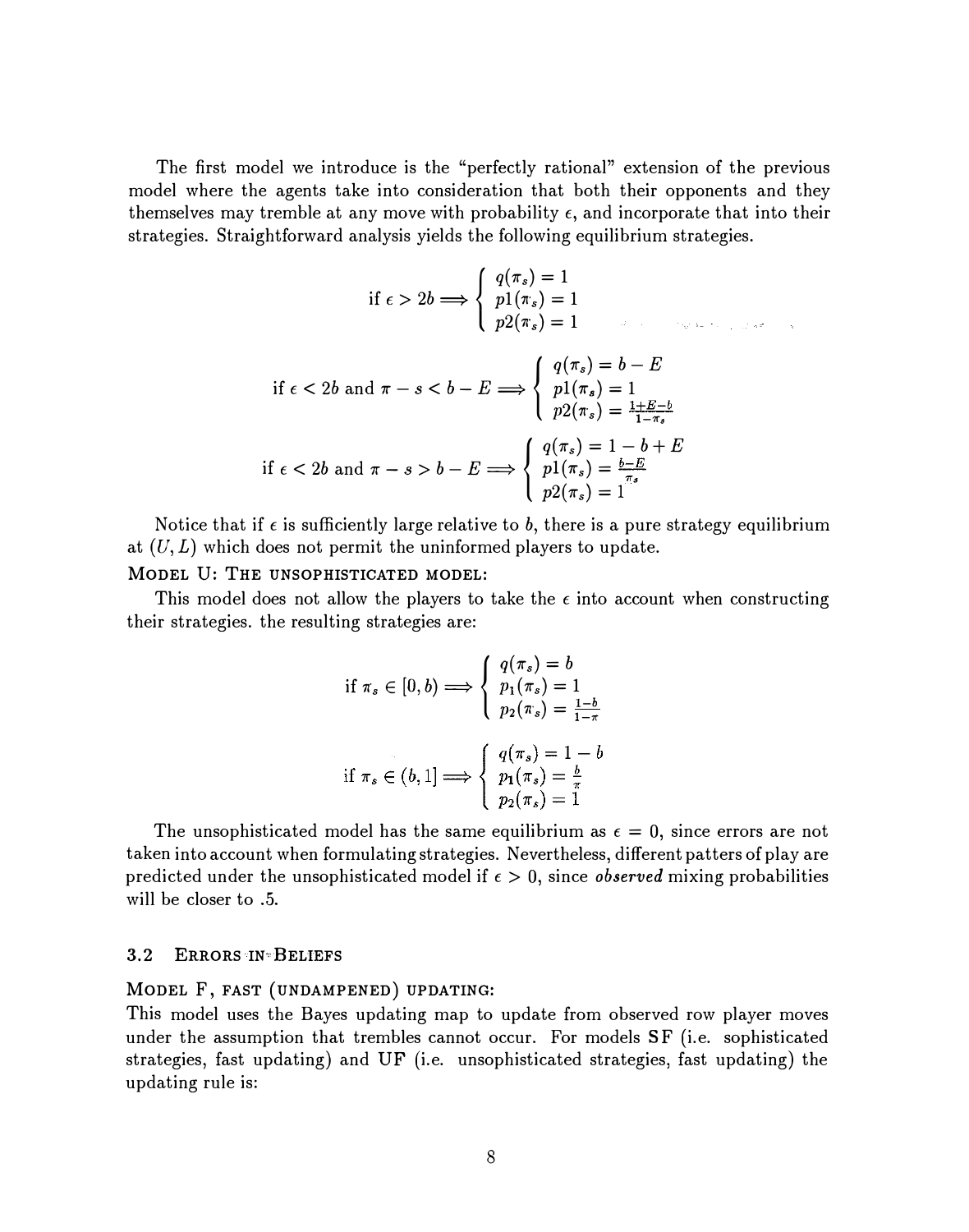The first model we introduce is the "perfectly rational" extension of the previous model where the agents take into consideration that both their opponents and they themselves may tremble at any move with probability  $\epsilon$ , and incorporate that into their strategies. Straightforward analysis yields the following equilibrium strategies.

$$
\text{if } \epsilon > 2b \Longrightarrow \begin{cases} q(\pi_s) = 1 \\ p1(\pi_s) = 1 \\ p2(\pi_s) = 1 \end{cases}
$$
\n
$$
\text{if } \epsilon < 2b \text{ and } \pi - s < b - E \Longrightarrow \begin{cases} q(\pi_s) = b - E \\ p1(\pi_s) = 1 \\ p2(\pi_s) = \frac{1 + E - b}{1 - \pi_s} \end{cases}
$$
\n
$$
\text{if } \epsilon < 2b \text{ and } \pi - s > b - E \Longrightarrow \begin{cases} q(\pi_s) = 1 - b + E \\ p1(\pi_s) = \frac{b - E}{\pi_s} \\ p2(\pi_s) = 1 \end{cases}
$$

Notice that if  $\epsilon$  is sufficiently large relative to b, there is a pure strategy equilibrium at  $(U, L)$  which does not permit the uninformed players to update.

#### MODEL U: THE UNSOPHISTICATED MODEL:

This model does not allow the players to take the  $\epsilon$  into account when constructing their strategies. the resulting strategies are:

if 
$$
\pi_s \in [0, b)
$$
  $\Longrightarrow$  
$$
\begin{cases} q(\pi_s) = b \\ p_1(\pi_s) = 1 \\ p_2(\pi_s) = \frac{1-b}{1-\pi} \end{cases}
$$
  
if  $\pi_s \in (b, 1]$   $\Longrightarrow$  
$$
\begin{cases} q(\pi_s) = 1 - b \\ p_1(\pi_s) = \frac{b}{\pi} \\ p_2(\pi_s) = 1 \end{cases}
$$

The unsophisticated model has the same equilibrium as  $\epsilon = 0$ , since errors are not taken into account when formulating strategies. Nevertheless, different patters of play are predicted under the unsophisticated model if  $\epsilon > 0$ , since *observed* mixing probabilities will be closer to .5.

#### 3.2 ERRORS IN·BELTEFS

#### MODEL F, FAST (UNDAMPENED) UPDATING:

This model uses the Bayes updating map to update from observed row player moves under the assumption that trembles cannot occur. For models SF (i.e. sophisticated strategies, fast updating) and UF (i.e. unsophisticated strategies, fast updating) the updating rule is: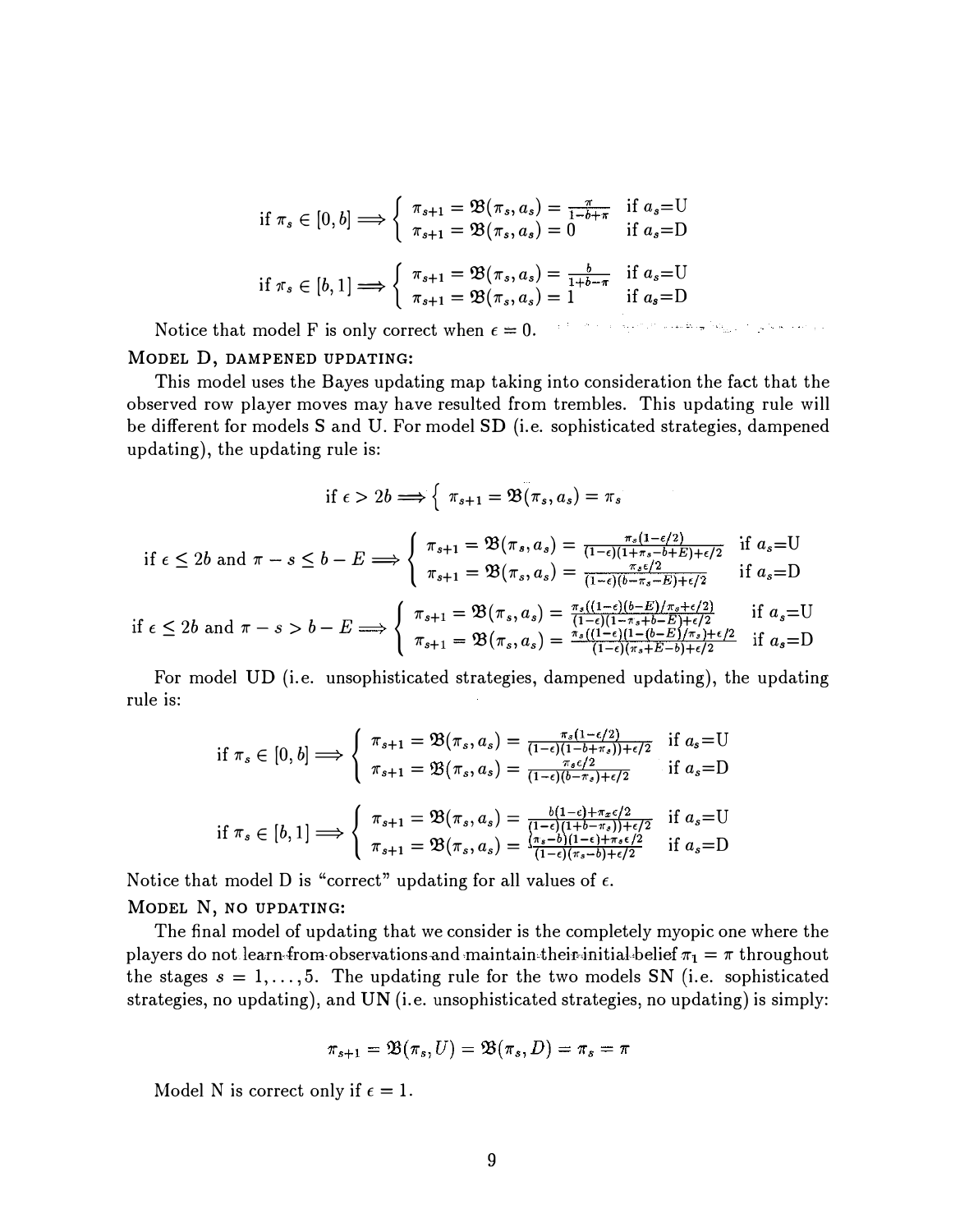$$
\text{if } \pi_s \in [0, b] \Longrightarrow \left\{ \begin{array}{l} \pi_{s+1} = \mathfrak{B}(\pi_s, a_s) = \frac{\pi}{1 - b + \pi} & \text{if } a_s = U \\ \pi_{s+1} = \mathfrak{B}(\pi_s, a_s) = 0 & \text{if } a_s = D \end{array} \right.
$$
\n
$$
\text{if } \pi_s \in [b, 1] \Longrightarrow \left\{ \begin{array}{l} \pi_{s+1} = \mathfrak{B}(\pi_s, a_s) = \frac{b}{1 + b - \pi} & \text{if } a_s = U \\ \pi_{s+1} = \mathfrak{B}(\pi_s, a_s) = 1 & \text{if } a_s = D \end{array} \right.
$$

Notice that model F is only correct when  $\epsilon = 0$ . MODEL D, DAMPENED UPDATING:

This model uses the Bayes updating map taking into consideration the fact that the observed row player moves may have resulted from trembles. This updating rule will be different for models S and U. For model SD (i.e. sophisticated strategies, dampened updating), the updating rule is:

if 
$$
\epsilon > 2b \Longrightarrow \left\{ \pi_{s+1} = \mathfrak{B}(\pi_s, a_s) = \pi_s \right\}
$$

if 
$$
\epsilon \le 2b
$$
 and  $\pi - s \le b - E \Longrightarrow \begin{cases} \pi_{s+1} = \mathfrak{B}(\pi_s, a_s) = \frac{\pi_s(1-\epsilon/2)}{(1-\epsilon)(1+\pi_s-b+E)+\epsilon/2} & \text{if } a_s = U \\ \pi_{s+1} = \mathfrak{B}(\pi_s, a_s) = \frac{\pi_s\epsilon/2}{(1-\epsilon)(b-\pi_s-E)+\epsilon/2} & \text{if } a_s = D \end{cases}$ 

if 
$$
\epsilon \le 2b
$$
 and  $\pi - s > b - E \Longrightarrow \begin{cases} \pi_{s+1} = \mathfrak{B}(\pi_s, a_s) = \frac{\pi_s((1-\epsilon)(b-\pi_s-b)+\epsilon/2)}{(1-\epsilon)(1-\pi_s+b-E)+\epsilon/2} & \text{if } a_s = U \\ \pi_{s+1} = \mathfrak{B}(\pi_s, a_s) = \frac{\pi_s((1-\epsilon)(b-E)/\pi_s+c/2)}{(1-\epsilon)(1-(b-E)/\pi_s+c/2)} & \text{if } a_s = D \end{cases}$ 

For model UD (i.e. unsophisticated strategies, dampened updating), the updating rule is:

if 
$$
\pi_s \in [0, b]
$$
  $\Longrightarrow$   $\begin{cases} \pi_{s+1} = \mathfrak{B}(\pi_s, a_s) = \frac{\pi_s(1-\epsilon/2)}{(1-\epsilon)(1-b+\pi_s))+\epsilon/2} & \text{if } a_s = U \\ \pi_{s+1} = \mathfrak{B}(\pi_s, a_s) = \frac{\pi_s\epsilon/2}{(1-\epsilon)(b-\pi_s)+\epsilon/2} & \text{if } a_s = D \end{cases}$   
if  $\pi_s \in [b, 1]$   $\Longrightarrow$   $\begin{cases} \pi_{s+1} = \mathfrak{B}(\pi_s, a_s) = \frac{b(1-\epsilon)+\pi_s\epsilon/2}{(1-\epsilon)(1+b-\pi_s)+\epsilon/2} & \text{if } a_s = U \\ \pi_{s+1} = \mathfrak{B}(\pi_s, a_s) = \frac{\pi_s-b)(1-\epsilon)+\pi_s\epsilon/2}{(1-\epsilon)(\pi_s-b)+\epsilon/2} & \text{if } a_s = D \end{cases}$ 

Notice that model D is "correct" updating for all values of  $\epsilon$ .

MODEL N, NO UPDATING:

The final model of updating that we consider is the completely myopic one where the players do not learn from observations and maintain their initial belief  $\pi_1 = \pi$  throughout the stages  $s = 1, \ldots, 5$ . The updating rule for the two models SN (i.e. sophisticated strategies, no updating), and UN (i.e. unsophisticated strategies, no updating) is simply:

$$
\pi_{s+1} = \mathfrak{B}(\pi_s, U) = \mathfrak{B}(\pi_s, D) = \pi_s = \pi
$$

Model N is correct only if  $\epsilon = 1$ .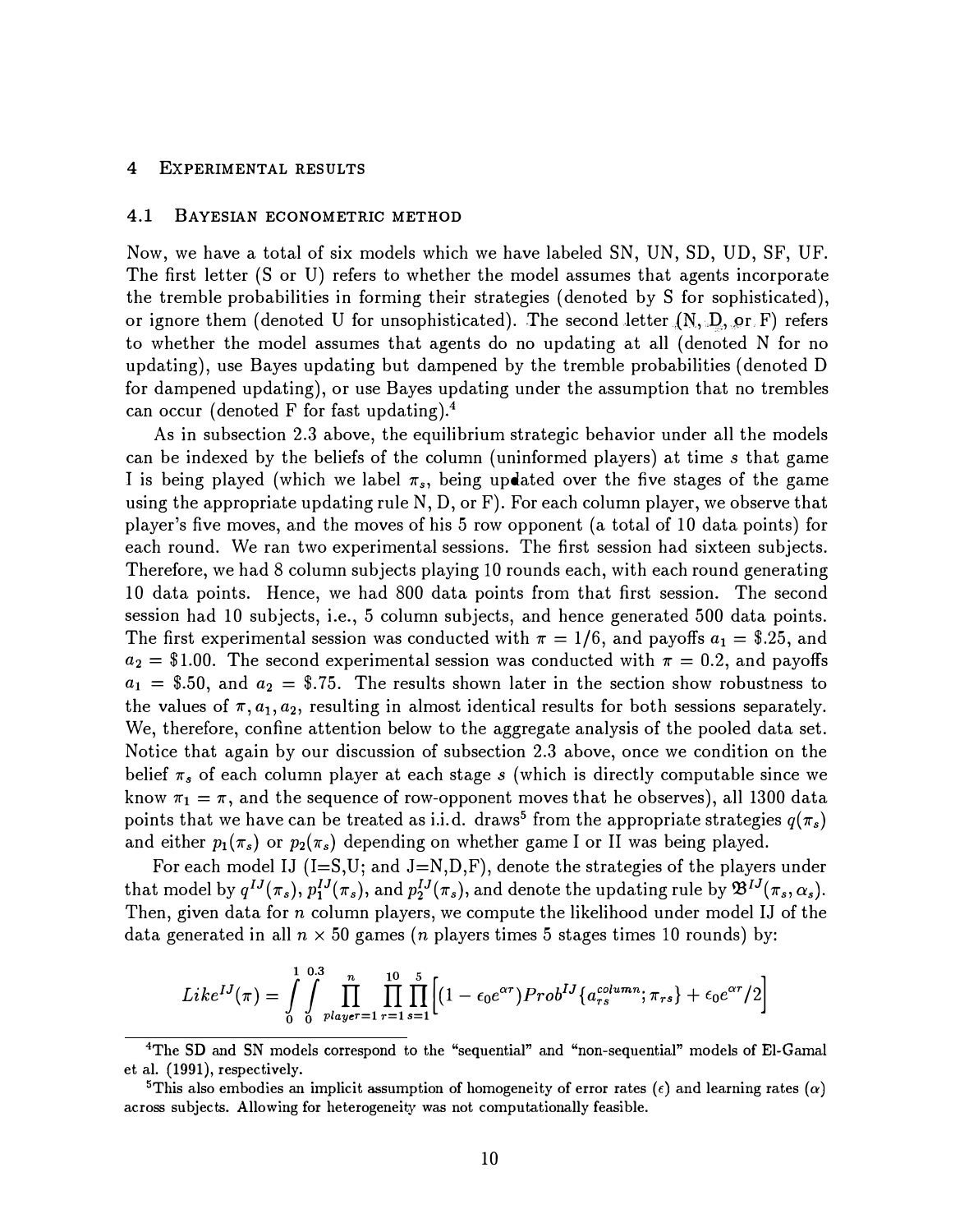#### 4 EXPERIMENTAL RESULTS

#### 4.1 BAYESIAN ECONOMETRIC METHOD

Now, we have a total of six models which we have labeled SN, UN, SD, UD, SF, UF. The first letter (S or U) refers to whether the model assumes that agents incorporate the tremble probabilities in forming their strategies (denoted by S for sophisticated), or ignore them (denoted U for unsophisticated). The second letter  $(N, D, \text{or } F)$  refers to whether the model assumes that agents do no updating at all (denoted N for no updating), use Bayes updating but dampened by the tremble probabilities (denoted D for dampened updating), or use Bayes updating under the assumption that no trembles can occur (denoted F for fast updating).4

As in subsection 2.3 above, the equilibrium strategic behavior under all the models can be indexed by the beliefs of the column (uninformed players) at time s that game I is being played (which we label  $\pi_s$ , being updated over the five stages of the game using the appropriate updating rule N, D, or F). For each column player, we observe that player's five moves, and the moves of his 5 row opponent (a total of 10 data points) for each round. We ran two experimental sessions. The first session had sixteen subjects. Therefore, we had 8 column subjects playing 10 rounds each, with each round generating 10 data points. Hence, we had 800 data points from that first session. The second session had 10 subjects, i.e., 5 column subjects, and hence generated 500 data points. The first experimental session was conducted with  $\pi = 1/6$ , and payoffs  $a_1 = $.25$ , and  $a_2 = $1.00$ . The second experimental session was conducted with  $\pi = 0.2$ , and payoffs  $a_1 = $.50$ , and  $a_2 = $.75$ . The results shown later in the section show robustness to the values of  $\pi$ ,  $a_1$ ,  $a_2$ , resulting in almost identical results for both sessions separately. We, therefore, confine attention below to the aggregate analysis of the pooled data set. Notice that again by our discussion of subsection 2.3 above, once we condition on the belief  $\pi_s$  of each column player at each stage s (which is directly computable since we know  $\pi_1 = \pi$ , and the sequence of row-opponent moves that he observes), all 1300 data points that we have can be treated as i.i.d. draws<sup>5</sup> from the appropriate strategies  $q(\pi_s)$ and either  $p_1(\pi_s)$  or  $p_2(\pi_s)$  depending on whether game I or II was being played.

For each model IJ (I=S,U; and J=N,D,F), denote the strategies of the players under that model by  $q^{IJ}(\pi_s)$ ,  $p_1^{IJ}(\pi_s)$ , and  $p_2^{IJ}(\pi_s)$ , and denote the updating rule by  $\mathfrak{B}^{IJ}(\pi_s, \alpha_s)$ . Then, given data for *n* column players, we compute the likelihood under model IJ of the data generated in all  $n \times 50$  games (*n* players times 5 stages times 10 rounds) by:

$$
Like^{IJ}(\pi) = \int_{0}^{1} \int_{0}^{0.3} \prod_{player=1}^{n} \prod_{r=1}^{10} \prod_{s=1}^{5} \left[ (1 - \epsilon_0 e^{\alpha \tau}) Prob^{IJ} \{ a_{rs}^{column}; \pi_{rs} \} + \epsilon_0 e^{\alpha \tau} / 2 \right]
$$

<sup>&</sup>lt;sup>4</sup>The SD and SN models correspond to the "sequential" and "non-sequential" models of El-Gamal et al. (1991), respectively.

<sup>&</sup>lt;sup>5</sup>This also embodies an implicit assumption of homogeneity of error rates ( $\epsilon$ ) and learning rates ( $\alpha$ ) across subjects. Allowing for heterogeneity was not computationally feasible.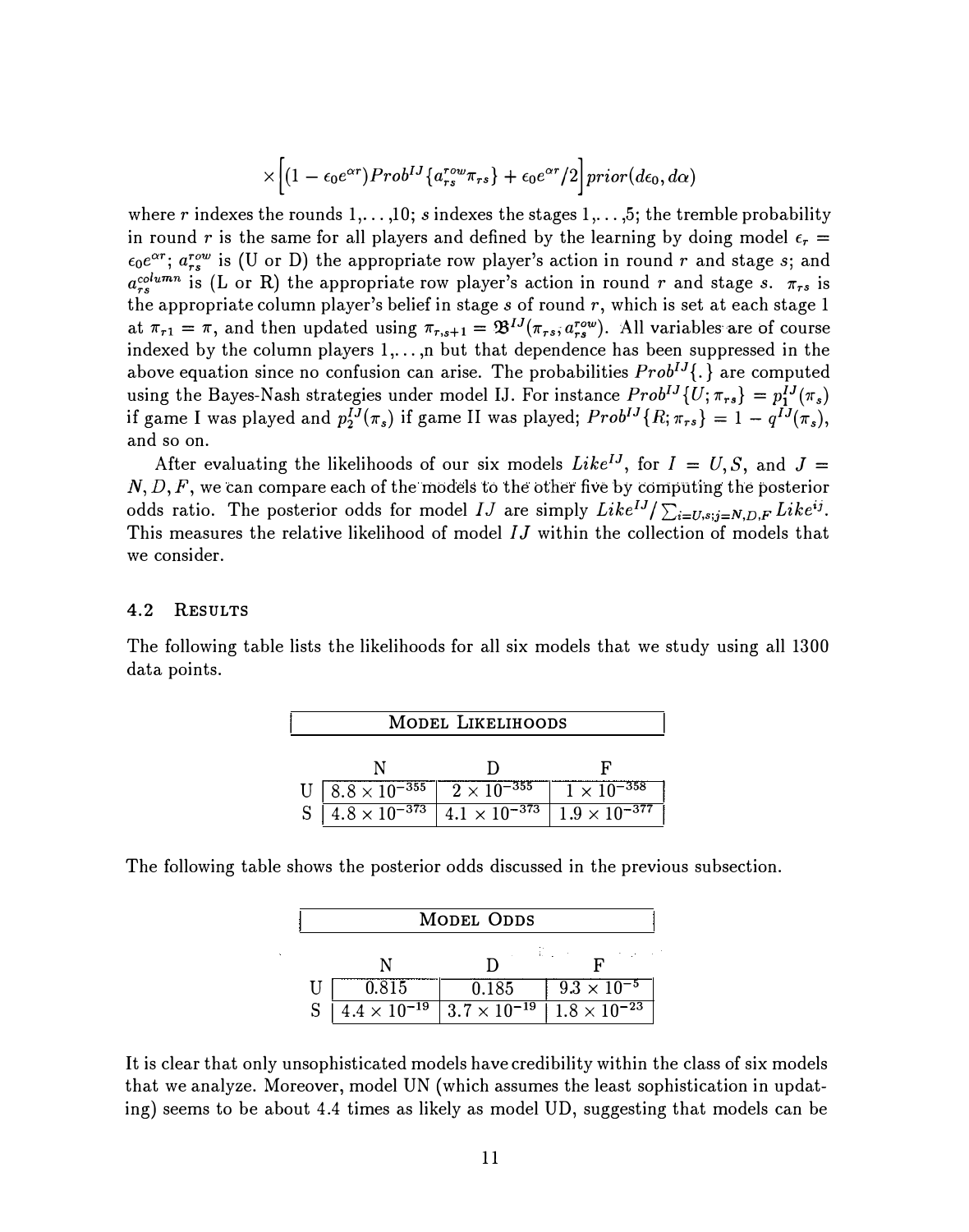$$
\times \Big[ (1 - \epsilon_0 e^{\alpha r}) Prob^{IJ} \{ a_{rs}^{row} \pi_{rs} \} + \epsilon_0 e^{\alpha r} / 2 \Big] prior (d\epsilon_0, d\alpha)
$$

where r indexes the rounds  $1, \ldots, 10$ ; s indexes the stages  $1, \ldots, 5$ ; the tremble probability in round r is the same for all players and defined by the learning by doing model  $\epsilon_r =$  $\epsilon_0 e^{\alpha r}$ ;  $a_{rs}^{row}$  is (U or D) the appropriate row player's action in round r and stage s; and  $a_{rs}^{column}$  is (L or R) the appropriate row player's action in round r and stage s.  $\pi_{rs}$  is the appropriate column player's belief in stage  $s$  of round  $r$ , which is set at each stage 1 at  $\pi_{r1} = \pi$ , and then updated using  $\pi_{r,s+1} = \mathfrak{B}^{IJ}(\pi_{rs}, a_{rs}^{row})$ . All variables are of course indexed by the column players  $1, \ldots, n$  but that dependence has been suppressed in the above equation since no confusion can arise. The probabilities  $Prob^{IJ}$ . are computed using the Bayes-Nash strategies under model IJ. For instance  $Prob^{IJ}\{U;\pi_{rs}\} = p_1^{IJ}(\pi_s)$ if game I was played and  $p_2^{IJ}(\pi_s)$  if game II was played;  $Prob^{IJ}\{R;\pi_{rs}\}=1-q^{IJ}(\pi_s),$ and so on.

After evaluating the likelihoods of our six models Like<sup>IJ</sup>, for  $I = U, S$ , and  $J =$  $N, D, F$ , we can compare each of the models to the other five by computing the posterior odds ratio. The posterior odds for model IJ are simply  $Like^{IJ}/\sum_{i=U,s;j=N,D,F} Like^{ij}$ . This measures the relative likelihood of model  $IJ$  within the collection of models that we consider.

#### 4.2 RESULTS

j

The following table lists the likelihoods for all six models that we study using all 1300 data points.

| MODEL LIKELIHOODS |                                                            |  |                        |  |  |  |  |
|-------------------|------------------------------------------------------------|--|------------------------|--|--|--|--|
|                   |                                                            |  |                        |  |  |  |  |
|                   | U   $8.8 \times 10^{-355}$   $2 \times 10^{-355}$          |  | $1 \times 10^{-358}$   |  |  |  |  |
|                   | S $\boxed{4.8 \times 10^{-373} \mid 4.1 \times 10^{-373}}$ |  | $1.9 \times 10^{-377}$ |  |  |  |  |

The following table shows the posterior odds discussed in the previous subsection.

| <b>MODEL ODDS</b> |                       |                       |                       |  |  |  |
|-------------------|-----------------------|-----------------------|-----------------------|--|--|--|
|                   | F                     |                       |                       |  |  |  |
|                   | 0.815                 | 0.185                 | $9.3 \times 10^{-5}$  |  |  |  |
|                   | $4.4 \times 10^{-19}$ | $3.7 \times 10^{-19}$ | $1.8 \times 10^{-23}$ |  |  |  |

It is clear that only unsophisticated models have credibility within the class of six models that we analyze. Moreover, model UN (which assumes the least sophistication in updating) seems to be about 4.4 times as likely as model UD, suggesting that models can be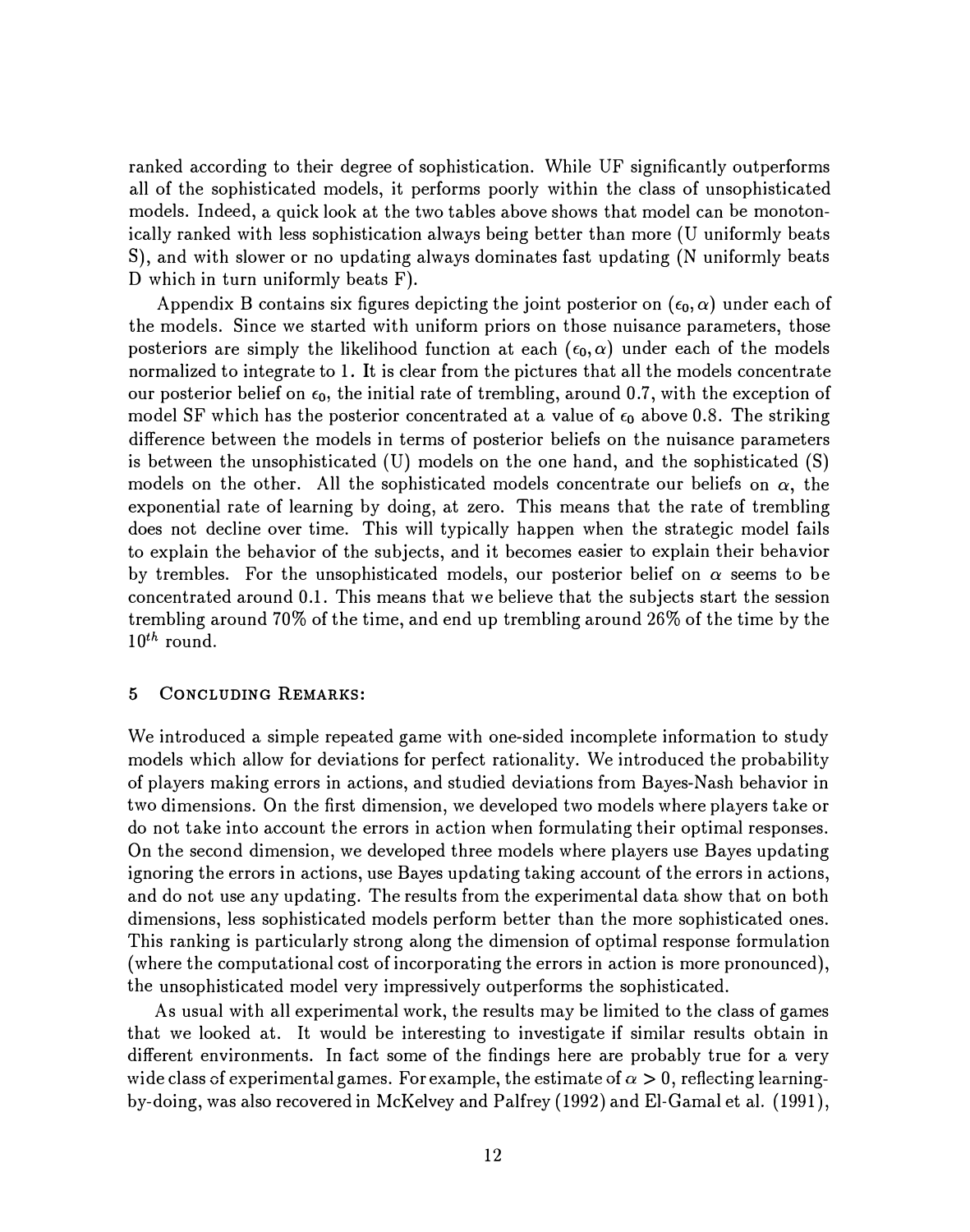ranked according to their degree of sophistication. While UF significantly outperforms all of the sophisticated models, it performs poorly within the class of unsophisticated models. Indeed, a quick look at the two tables above shows that model can be monotonically ranked with less sophistication always being better than more (U uniformly beats S), and with slower or no updating always dominates fast updating (N uniformly beats D which in turn uniformly beats F).

Appendix B contains six figures depicting the joint posterior on  $(\epsilon_0, \alpha)$  under each of the models. Since we started with uniform priors on those nuisance parameters, those posteriors are simply the likelihood function at each  $(\epsilon_0, \alpha)$  under each of the models normalized to integrate to 1. It is clear from the pictures that all the models concentrate our posterior belief on  $\epsilon_0$ , the initial rate of trembling, around 0.7, with the exception of model SF which has the posterior concentrated at a value of  $\epsilon_0$  above 0.8. The striking difference between the models in terms of posterior beliefs on the nuisance parameters is between the unsophisticated (U) models on the one hand, and the sophisticated (S) models on the other. All the sophisticated models concentrate our beliefs on  $\alpha$ , the exponential rate of learning by doing, at zero. This means that the rate of trembling does not decline over time. This will typically happen when the strategic model fails to explain the behavior of the subjects, and it becomes easier to explain their behavior by trembles. For the unsophisticated models, our posterior belief on  $\alpha$  seems to be concentrated around 0.1. This means that we believe that the subjects start the session trembling around 70% of the time, and end up trembling around 26% of the time by the  $10^{th}$  round.

#### 5 CONCLUDING REMARKS:

We introduced a simple repeated game with one-sided incomplete information to study models which allow for deviations for perfect rationality. We introduced the probability of players making errors in actions, and studied deviations from Bayes-Nash behavior in two dimensions. On the first dimension, we developed two models where players take or do not take into account the errors in action when formulating their optimal responses. On the second dimension, we developed three models where players use Bayes updating ignoring the errors in actions, use Bayes updating taking account of the errors in actions, and do not use any updating. The results from the experimental data show that on both dimensions, less sophisticated models perform better than the more sophisticated ones. This ranking is particularly strong along the dimension of optimal response formulation (where the computational cost of incorporating the errors in action is more pronounced), the unsophisticated model very impressively outperforms the sophisticated.

As usual with all experimental work, the results may be limited to the class of games that we looked at. It would be interesting to investigate if similar results obtain in different environments. In fact some of the findings here are probably true for a very wide class of experimental games. For example, the estimate of  $\alpha > 0$ , reflecting learningby-doing, was also recovered in McKelvey and Palfrey (1992) and El-Gamal et al. (1991),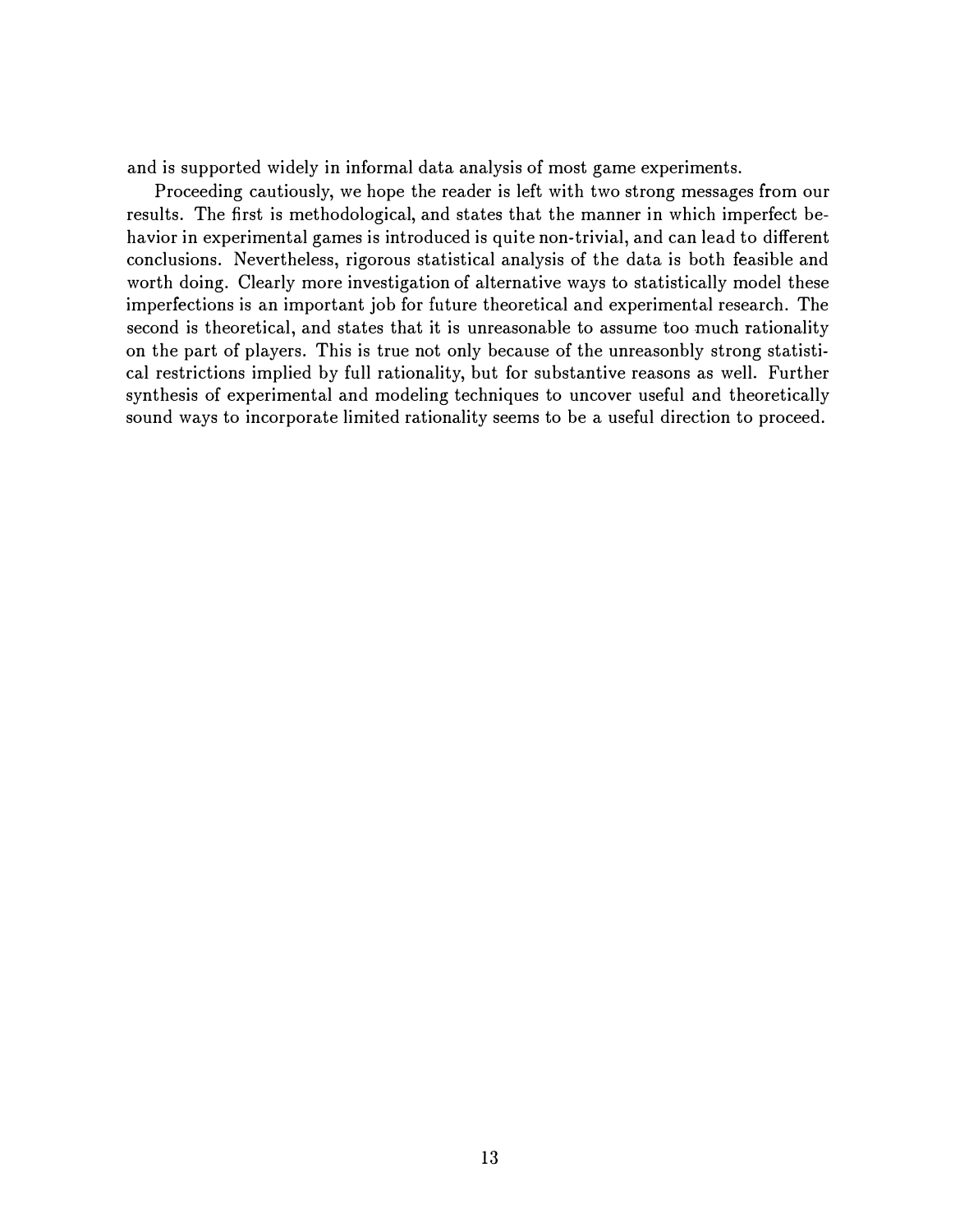and is supported widely in informal data analysis of most game experiments.

Proceeding cautiously, we hope the reader is left with two strong messages from our results. The first is methodological, and states that the manner in which imperfect behavior in experimental games is introduced is quite non-trivial, and can lead to different conclusions. Nevertheless, rigorous statistical analysis of the data is both feasible and worth doing. Clearly more investigation of alternative ways to statistically model these imperfections is an important job for future theoretical and experimental research. The second is theoretical, and states that it is unreasonable to assume too much rationality on the part of players. This is true not only because of the unreasonbly strong statistical restrictions implied by full rationality, but for substantive reasons as well. Further synthesis of experimental and modeling techniques to uncover useful and theoretically sound ways to incorporate limited rationality seems to be a useful direction to proceed.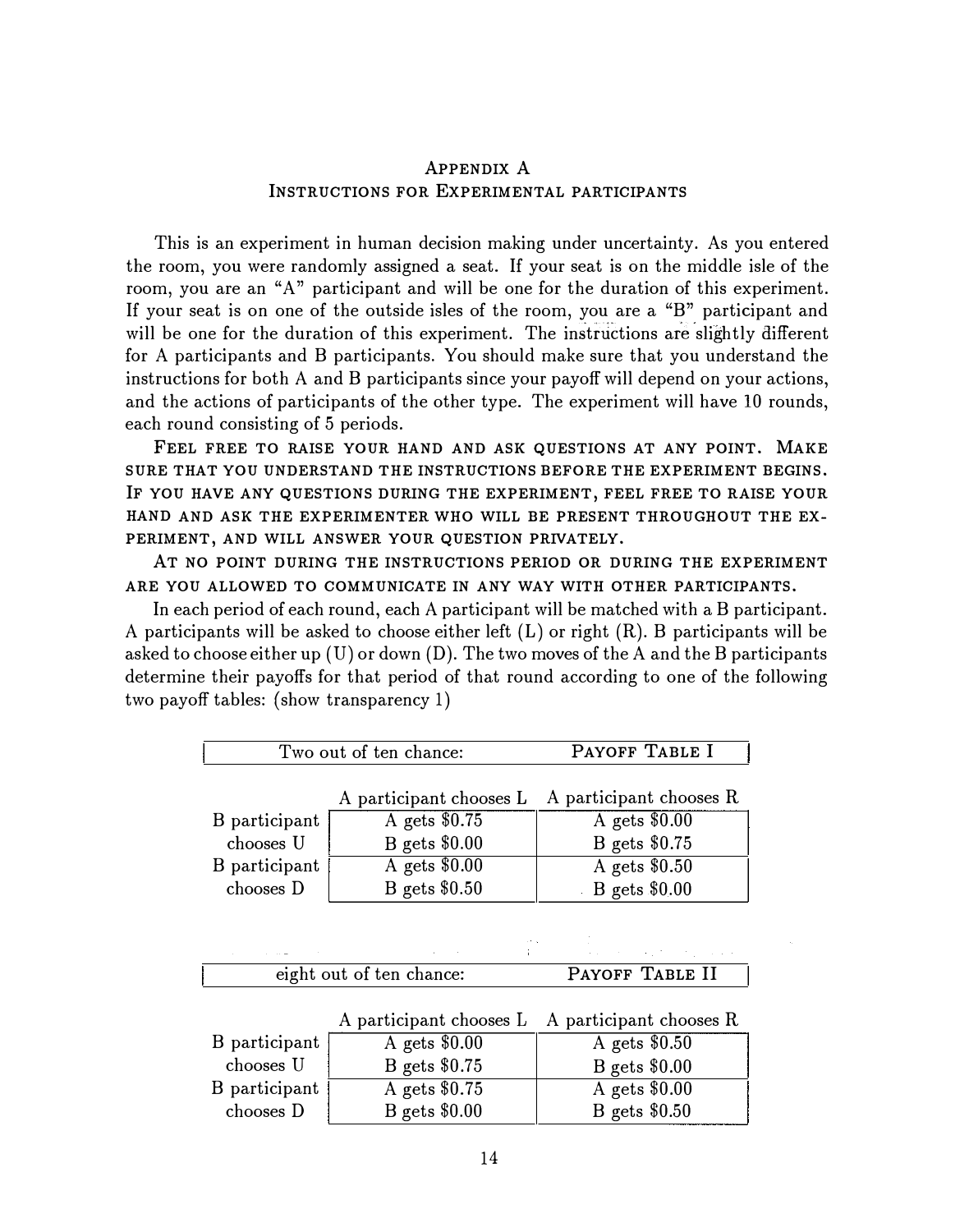### APPENDIX A INSTRUCTIONS FOR EXPERIMENTAL PARTICIPANTS

This is an experiment in human decision making under uncertainty. As you entered the room, you were randomly assigned a seat. If your seat is on the middle isle of the room, you are an "A" participant and will be one for the duration of this experiment. If your seat is on one of the outside isles of the room, you are a "B" participant and If your seat is on one or the outside isles of the foonf, you are a bulk participant and<br>will be one for the duration of this experiment. The instructions are slightly different for A participants and B participants. You should make sure that you understand the instructions for both A and B participants since your payoff will depend on your actions, and the actions of participants of the other type. The experiment will have 10 rounds, each round consisting of 5 periods.

FEEL FREE TO RAISE YOUR HAND AND ASK QUESTIONS AT ANY POINT. MAKE SURE THAT YOU UNDERSTAND THE INSTRUCTIONS BEFORE THE EXPERIMENT BEGINS. IF YOU HAVE ANY QUESTIONS DURING THE EXPERIMENT, FEEL FREE TO RAISE YOUR HAND AND ASK THE EXPERIMENTER WHO WILL BE PRESENT THROUGHOUT THE EX-PERIMENT, AND WILL ANSWER YOUR QUESTION PRIVATELY.

AT NO POINT DURING THE INSTRUCTIONS PERIOD OR DURING THE EXPERIMENT ARE YOU ALLOWED TO COMMUNICATE IN ANY WAY WITH OTHER PARTICIPANTS.

In each period of each round, each A participant will be matched with a B participant. A participants will be asked to choose either left  $(L)$  or right  $(R)$ . B participants will be asked to choose either up (U) or down (D). The two moves of the A and the B participants determine their payoffs for that period of that round according to one of the following two payoff tables: (show transparency 1)

|                               | Two out of ten chance:                       | PAYOFF TABLE I                       |  |
|-------------------------------|----------------------------------------------|--------------------------------------|--|
|                               |                                              |                                      |  |
|                               | A participant chooses L                      | A participant chooses R              |  |
| B participant                 | A gets \$0.75                                | A gets $$0.00$                       |  |
| $B$ gets $$0.00$<br>chooses U |                                              | B gets \$0.75                        |  |
| B participant                 | A gets \$0.00                                | A gets \$0.50                        |  |
| chooses D                     | $B$ gets $$0.50$                             | <b>B</b> gets \$0.00                 |  |
|                               |                                              |                                      |  |
|                               |                                              |                                      |  |
|                               | the control of the control of the control of | and the company of the company and a |  |
|                               | eight out of ten chance:                     | PAYOFF TABLE II                      |  |
|                               |                                              |                                      |  |
|                               | A participant chooses L                      | A participant chooses R              |  |

| B participant | A gets $$0.00$   | A gets $$0.50$       |
|---------------|------------------|----------------------|
| chooses U     | B gets \$0.75    | <b>B</b> gets \$0.00 |
| B participant | A gets \$0.75    | A gets $$0.00$       |
| chooses D     | $B$ gets $$0.00$ | B gets \$0.50        |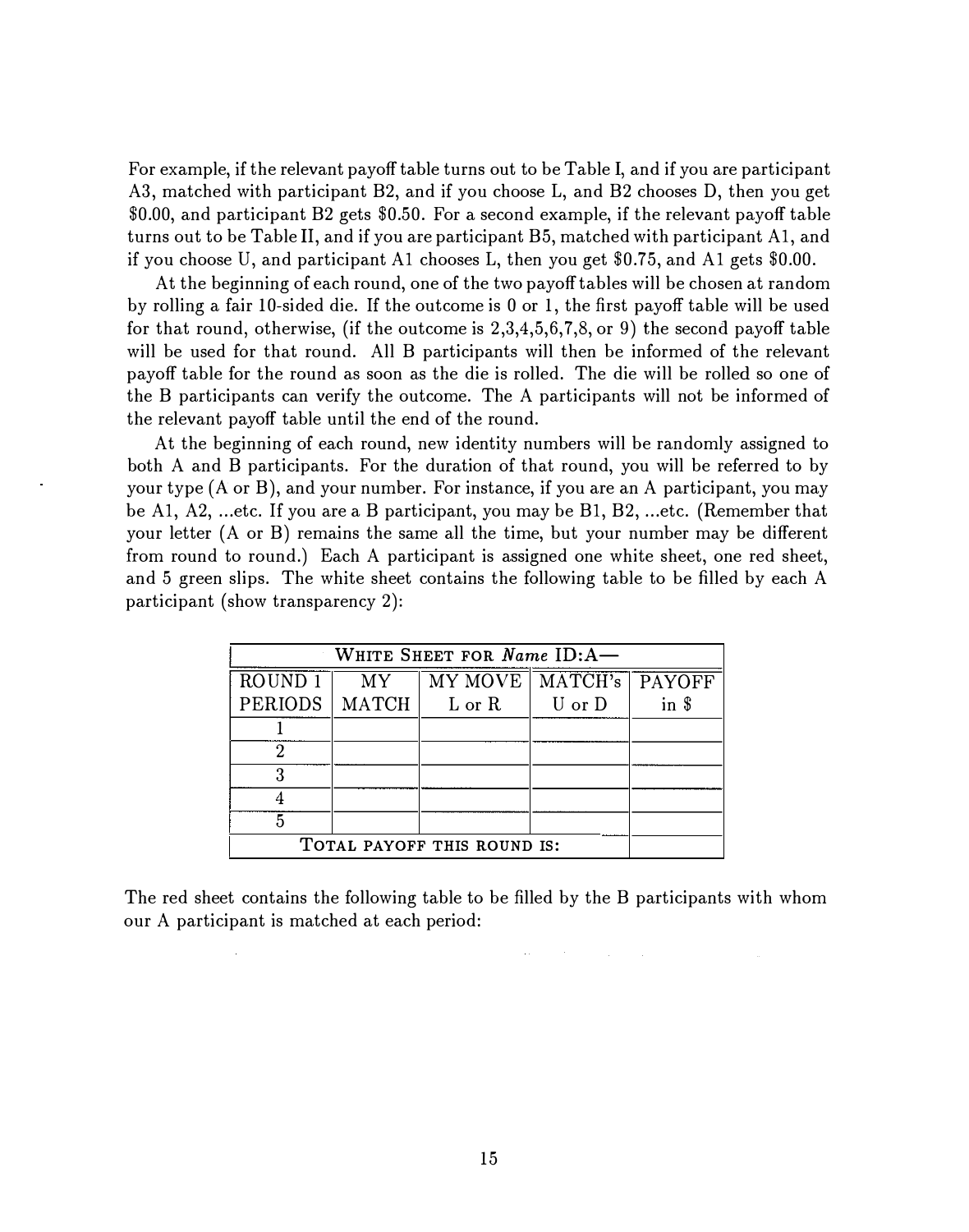For example, if the relevant payoff table turns out to be Table I, and if you are participant A3, matched with participant B2, and if you choose L, and B2 chooses D, then you get \$0.00, and participant B2 gets \$0.50. For a second example, if the relevant payoff table turns out to be Table II, and if you are participant B5, matched with participant Al, and if you choose U, and participant Al chooses L, then you get \$0.75, and Al gets \$0.00.

At the beginning of each round, one of the two payoff tables will be chosen at random by rolling a fair 10-sided die. If the outcome is 0 or 1, the first payoff table will be used for that round, otherwise, (if the outcome is 2,3,4,5,6,7,8, or 9) the second payoff table will be used for that round. All B participants will then be informed of the relevant payoff table for the round as soon as the die is rolled. The die will be rolled so one of the B participants can verify the outcome. The A participants will not be informed of the relevant payoff table until the end of the round.

At the beginning of each round, new identity numbers will be randomly assigned to both A and B participants. For the duration of that round, you will be referred to by your type (A or B), and your number. For instance, if you are an A participant, you may be A1, A2, ... etc. If you are a B participant, you may be  $B1, B2, ...$  etc. (Remember that your letter (A or B) remains the same all the time, but your number may be different from round to round.) Each A participant is assigned one white sheet, one red sheet, and 5 green slips. The white sheet contains the following table to be filled by each A participant (show transparency 2):

| WHITE SHEET FOR Name ID:A-  |           |                            |        |                    |  |
|-----------------------------|-----------|----------------------------|--------|--------------------|--|
| ROUND <sub>1</sub>          | <b>MY</b> | MY MOVE   MATCH's   PAYOFF |        |                    |  |
| <b>PERIODS</b>              | MATCH     | L or R                     | U or D | $in$ $\frac{1}{3}$ |  |
|                             |           |                            |        |                    |  |
|                             |           |                            |        |                    |  |
|                             |           |                            |        |                    |  |
|                             |           |                            |        |                    |  |
|                             |           |                            |        |                    |  |
| TOTAL PAYOFF THIS ROUND IS: |           |                            |        |                    |  |

The red sheet contains the following table to be filled by the B participants with whom our A participant is matched at each period: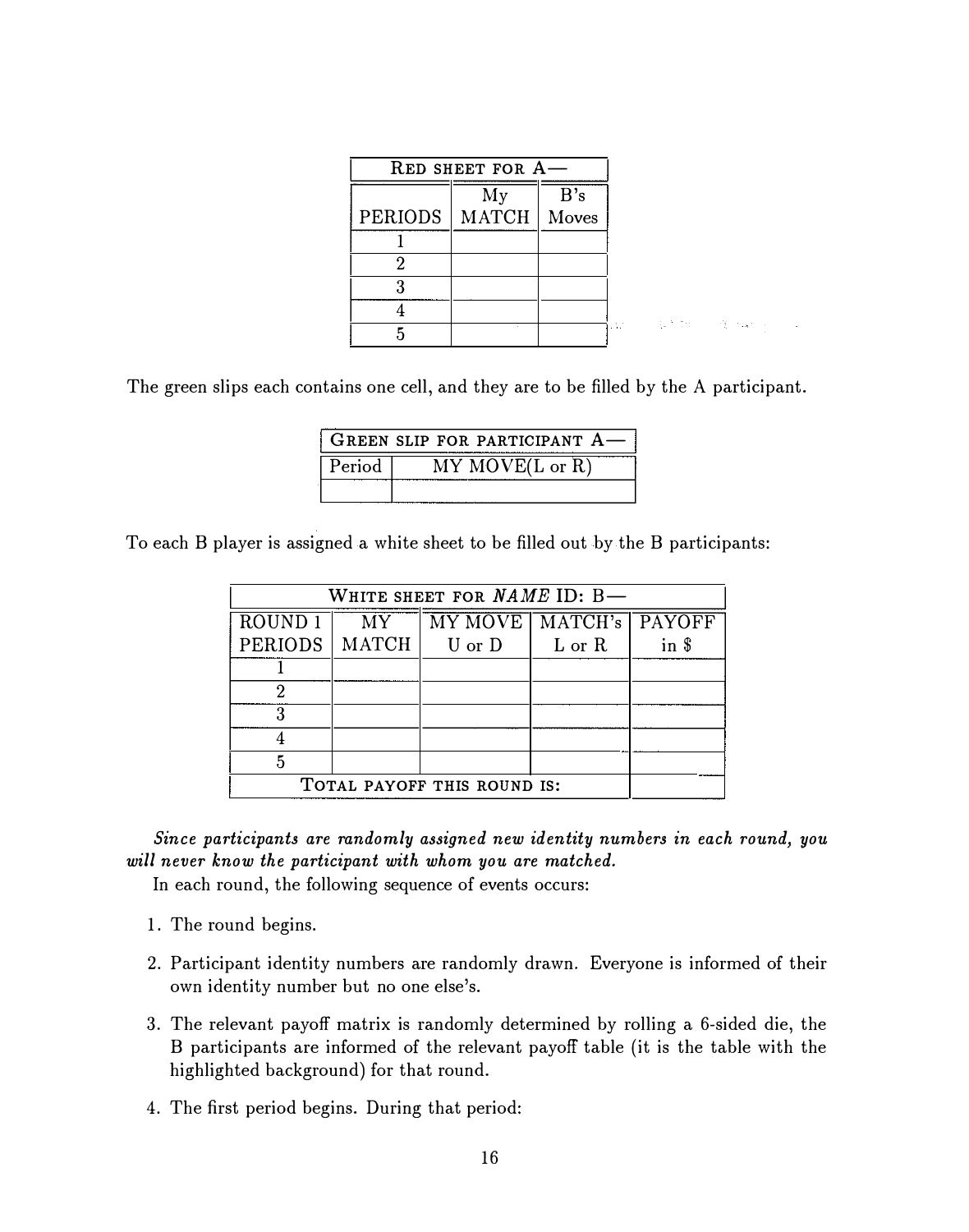| RED SHEET FOR A- |       |       |  |  |
|------------------|-------|-------|--|--|
| B's<br>My        |       |       |  |  |
| PERIODS          | MATCH | Moves |  |  |
|                  |       |       |  |  |
|                  |       |       |  |  |
|                  |       |       |  |  |
|                  |       |       |  |  |
|                  |       |       |  |  |

**提高数据 (图 1000 - 100** 

The green slips each contains one cell, and they are to be filled by the A participant.

|        | GREEN SLIP FOR PARTICIPANT A. |
|--------|-------------------------------|
| Period | MY MOVE(L or R)               |
|        |                               |

To each B player is assigned a white sheet to be filled out by the B participants:

| WHITE SHEET FOR NAME ID: B- |       |                        |        |      |  |  |
|-----------------------------|-------|------------------------|--------|------|--|--|
| ROUND <sub>1</sub>          | MY.   | MY MOVE MATCH's PAYOFF |        |      |  |  |
| <b>PERIODS</b>              | MATCH | U or D                 | L or R | in S |  |  |
|                             |       |                        |        |      |  |  |
|                             |       |                        |        |      |  |  |
|                             |       |                        |        |      |  |  |
|                             |       |                        |        |      |  |  |
|                             |       |                        |        |      |  |  |
| TOTAL PAYOFF THIS ROUND IS: |       |                        |        |      |  |  |

## Since participants are randomly assigned new identity numbers in each round, you will never know the participant with whom you are matched.

In each round, the following sequence of events occurs:

- 1. The round begins.
- 2. Participant identity numbers are randomly drawn. Everyone is informed of their own identity number but no one else's.
- 3. The relevant payoff matrix is randomly determined by rolling a 6-sided die, the B participants are informed of the relevant payoff table (it is the table with the highlighted background) for that round.
- 4. The first period begins. During that period: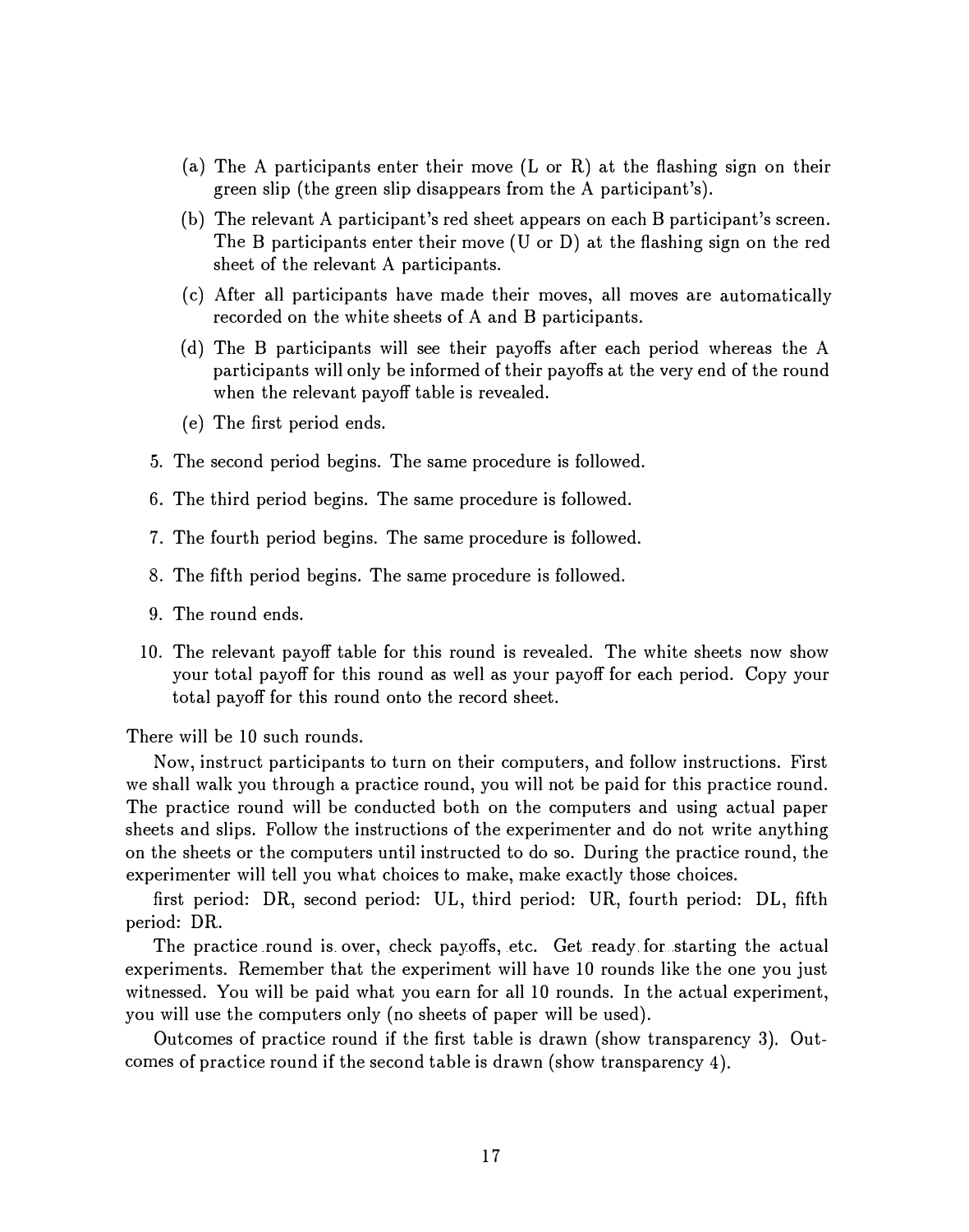- (a) The A participants enter their move (L or R) at the flashing sign on their green slip (the green slip disappears from the A participant's).
- (b) The relevant A participant's red sheet appears on each B participant's screen. The B participants enter their move (U or D) at the flashing sign on the red sheet of the relevant A participants.
- ( c) After all participants have made their moves, all moves are automatically recorded on the white sheets of A and B participants.
- ( d) The B participants will see their payoffs after each period whereas the A participants will only be informed of their payoffs at the very end of the round when the relevant payoff table is revealed.
- ( e) The first period ends.
- 5. The second period begins. The same procedure is followed.
- 6. The third period begins. The same procedure is followed.
- 7. The fourth period begins. The same procedure is followed.
- 8. The fifth period begins. The same procedure is followed.
- 9. The round ends.
- 10. The relevant payoff table for this round is revealed. The white sheets now show your total payoff for this round as well as your payoff for each period. Copy your total payoff for this round onto the record sheet.

There will be 10 such rounds.

Now, instruct participants to turn on their computers, and follow instructions. First we shall walk you through a practice round, you will not be paid for this practice round. The practice round will be conducted both on the computers and using actual paper sheets and slips. Follow the instructions of the experimenter and do not write anything on the sheets or the computers until instructed to do so. During the practice round, the experimenter will tell you what choices to make, make exactly those choices.

first period: DR, second period: UL, third period: UR, fourth period: DL, fifth period: DR.

The practice round is over, check payoffs, etc. Get ready for starting the actual experiments. Remember that the experiment will have 10 rounds like the one you just witnessed. You will be paid what you earn for all 10 rounds. In the actual experiment, you will use the computers only (no sheets of paper will be used).

Outcomes of practice round if the first table is drawn (show transparency 3). Outcomes of practice round if the second table is drawn (show transparency 4).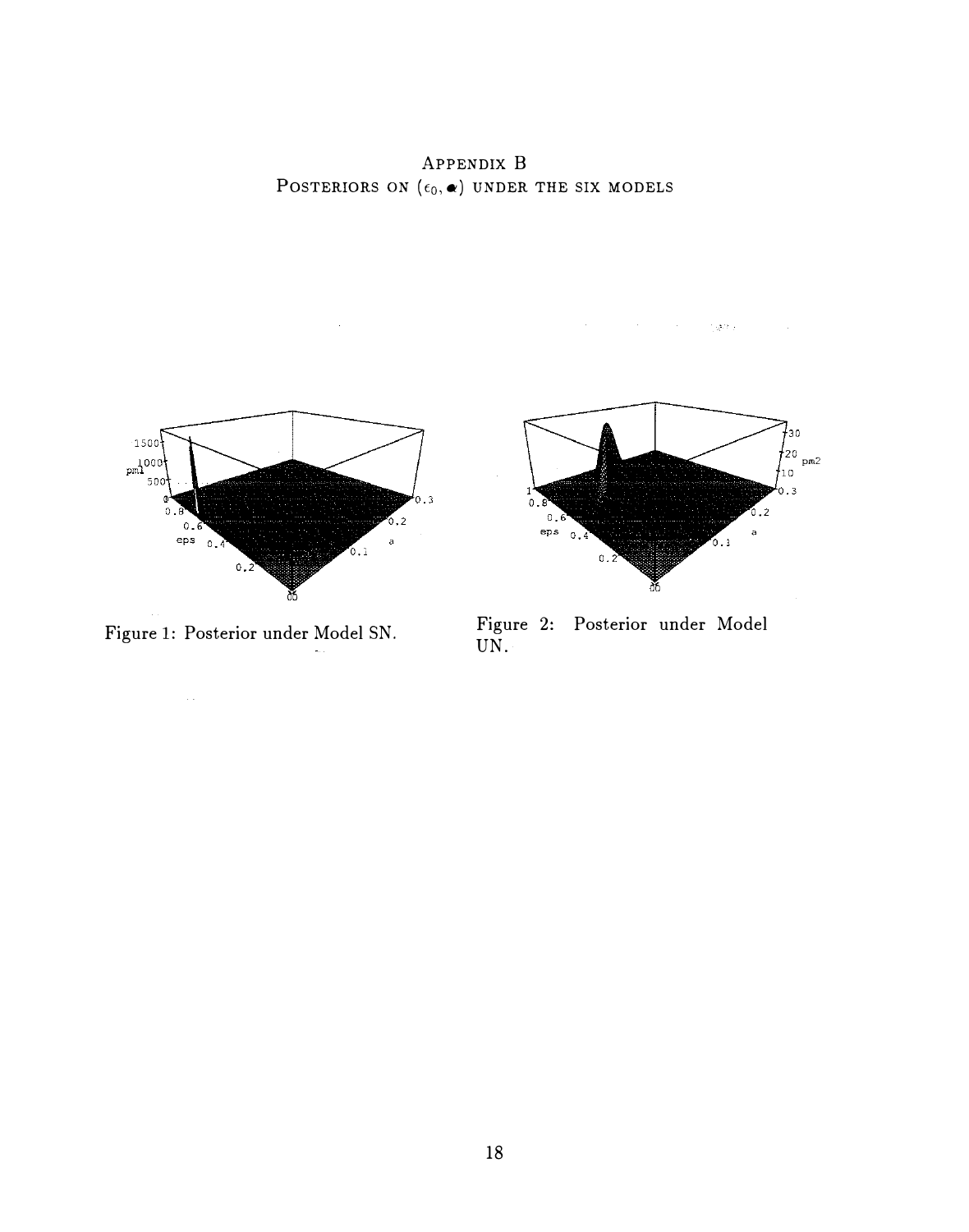APPENDIX B POSTERIORS ON  $(\epsilon_0, \bullet)$  UNDER THE SIX MODELS





 $\sim 10^{41}$ 

Figure 1: Posterior under Model SN. Figure 2: Posterior under Model UN.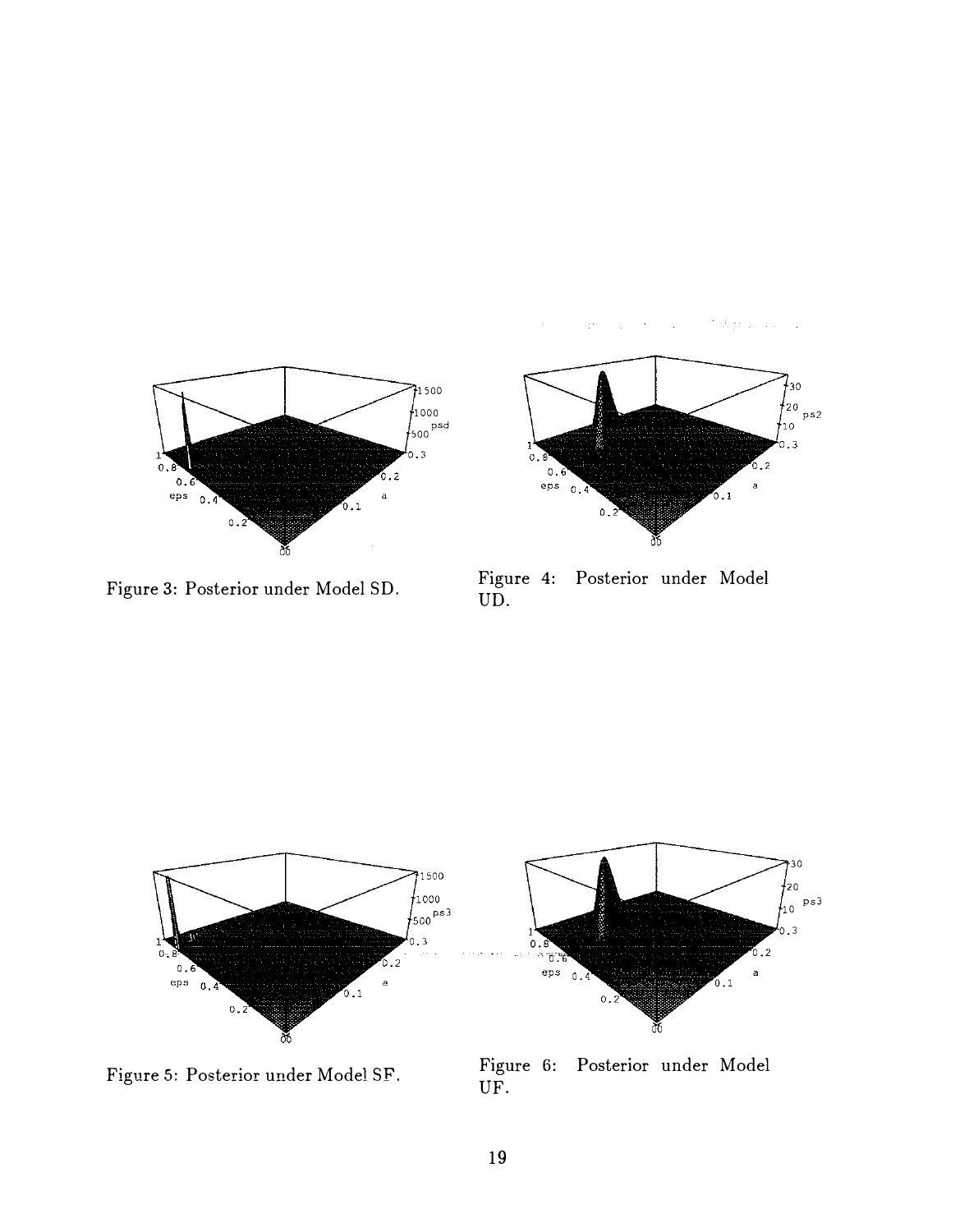The British Corp.  $\bar{\gamma}$  $\mathbb{C}^2$ 



Figure 3: Posterior under Model SD.

![](_page_20_Figure_3.jpeg)

Figure 4: Posterior under Model UD.

![](_page_20_Figure_5.jpeg)

Figure 5: Posterior under Model SF.

Figure 6: Posterior under Model UF.